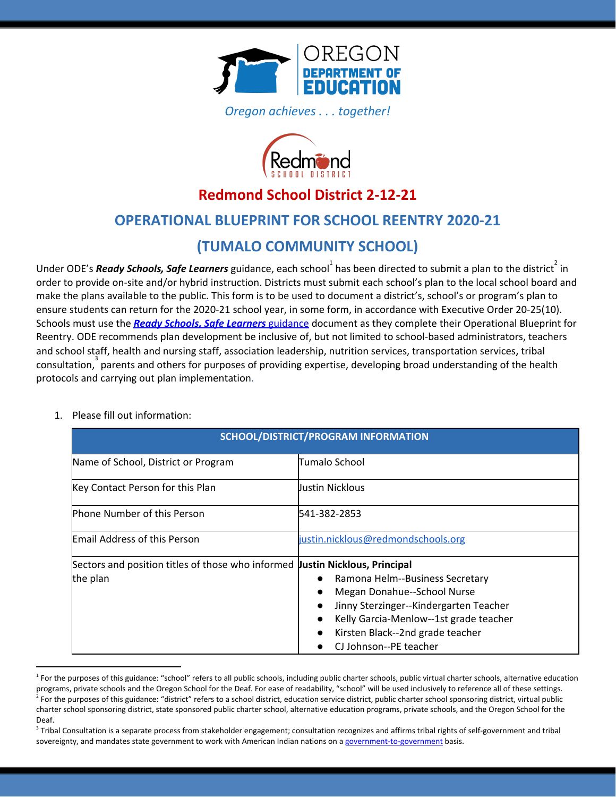

*Oregon achieves . . . together!*



## **Redmond School District 2-12-21**

### **OPERATIONAL BLUEPRINT FOR SCHOOL REENTRY 2020-21**

## **(TUMALO COMMUNITY SCHOOL)**

Under ODE's *Ready Schools, Safe Learners* guidance, each school<sup>1</sup> has been directed to submit a plan to the district<sup>2</sup> in order to provide on-site and/or hybrid instruction. Districts must submit each school's plan to the local school board and make the plans available to the public. This form is to be used to document a district's, school's or program's plan to ensure students can return for the 2020-21 school year, in some form, in accordance with Executive Order 20-25(10). Schools must use the *Ready Schools, Safe [Learners](https://www.oregon.gov/ode/students-and-family/healthsafety/Documents/Ready%20Schools%20Safe%20Learners%202020-21%20Guidance.pdf)* [guidance](https://www.oregon.gov/ode/students-and-family/healthsafety/Documents/Ready%20Schools%20Safe%20Learners%202020-21%20Guidance.pdf) document as they complete their Operational Blueprint for Reentry. ODE recommends plan development be inclusive of, but not limited to school-based administrators, teachers and school staff, health and nursing staff, association leadership, nutrition services, transportation services, tribal  $\arccos$  consultation,  $\arccos$  parents and others for purposes of providing expertise, developing broad understanding of the health protocols and carrying out plan implementation.

|  |  | 1. Please fill out information: |  |
|--|--|---------------------------------|--|
|--|--|---------------------------------|--|

| SCHOOL/DISTRICT/PROGRAM INFORMATION                                          |                                        |  |
|------------------------------------------------------------------------------|----------------------------------------|--|
| Name of School, District or Program                                          | Tumalo School                          |  |
| Key Contact Person for this Plan                                             | Justin Nicklous                        |  |
| <b>Phone Number of this Person</b>                                           | 541-382-2853                           |  |
| <b>Email Address of this Person</b>                                          | justin.nicklous@redmondschools.org     |  |
| Sectors and position titles of those who informed Justin Nicklous, Principal |                                        |  |
| the plan                                                                     | Ramona Helm--Business Secretary        |  |
|                                                                              | Megan Donahue--School Nurse            |  |
|                                                                              | Jinny Sterzinger--Kindergarten Teacher |  |
|                                                                              | Kelly Garcia-Menlow--1st grade teacher |  |
|                                                                              | Kirsten Black--2nd grade teacher       |  |
|                                                                              | CJ Johnson--PE teacher                 |  |

<sup>&</sup>lt;sup>1</sup> For the purposes of this guidance: "school" refers to all public schools, including public charter schools, public virtual charter schools, alternative education programs, private schools and the Oregon School for the Deaf. For ease of readability, "school" will be used inclusively to reference all of these settings.  $^2$  For the purposes of this guidance: "district" refers to a school district, education service district, public charter school sponsoring district, virtual public charter school sponsoring district, state sponsored public charter school, alternative education programs, private schools, and the Oregon School for the Deaf.

 $3$  Tribal Consultation is a separate process from stakeholder engagement; consultation recognizes and affirms tribal rights of self-government and tribal sovereignty, and mandates state government to work with American Indian nations on a [government-to-government](http://www.nrc4tribes.org/files/Tab%209_9H%20Oregon%20SB770.pdf) basis.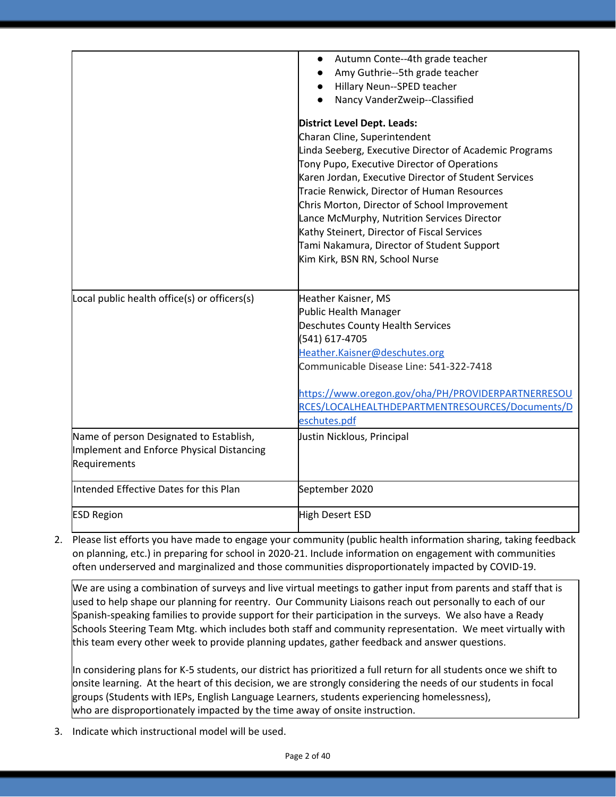|                                              | Autumn Conte--4th grade teacher<br>$\bullet$<br>Amy Guthrie--5th grade teacher |
|----------------------------------------------|--------------------------------------------------------------------------------|
|                                              | Hillary Neun--SPED teacher                                                     |
|                                              | Nancy VanderZweip--Classified<br>$\bullet$                                     |
|                                              | <b>District Level Dept. Leads:</b>                                             |
|                                              | Charan Cline, Superintendent                                                   |
|                                              | Linda Seeberg, Executive Director of Academic Programs                         |
|                                              | Tony Pupo, Executive Director of Operations                                    |
|                                              | Karen Jordan, Executive Director of Student Services                           |
|                                              | Tracie Renwick, Director of Human Resources                                    |
|                                              | Chris Morton, Director of School Improvement                                   |
|                                              | Lance McMurphy, Nutrition Services Director                                    |
|                                              | Kathy Steinert, Director of Fiscal Services                                    |
|                                              | Tami Nakamura, Director of Student Support                                     |
|                                              | Kim Kirk, BSN RN, School Nurse                                                 |
|                                              |                                                                                |
| Local public health office(s) or officers(s) | Heather Kaisner, MS                                                            |
|                                              | Public Health Manager                                                          |
|                                              | Deschutes County Health Services                                               |
|                                              | (541) 617-4705                                                                 |
|                                              | Heather.Kaisner@deschutes.org                                                  |
|                                              | Communicable Disease Line: 541-322-7418                                        |
|                                              | https://www.oregon.gov/oha/PH/PROVIDERPARTNERRESOU                             |
|                                              | RCES/LOCALHEALTHDEPARTMENTRESOURCES/Documents/D                                |
|                                              | eschutes.pdf                                                                   |
| Name of person Designated to Establish,      | Justin Nicklous, Principal                                                     |
| Implement and Enforce Physical Distancing    |                                                                                |
| Requirements                                 |                                                                                |
| Intended Effective Dates for this Plan       | September 2020                                                                 |
| <b>ESD Region</b>                            | High Desert ESD                                                                |

2. Please list efforts you have made to engage your community (public health information sharing, taking feedback on planning, etc.) in preparing for school in 2020-21. Include information on engagement with communities often underserved and marginalized and those communities disproportionately impacted by COVID-19.

We are using a combination of surveys and live virtual meetings to gather input from parents and staff that is used to help shape our planning for reentry. Our Community Liaisons reach out personally to each of our Spanish-speaking families to provide support for their participation in the surveys. We also have a Ready Schools Steering Team Mtg. which includes both staff and community representation. We meet virtually with this team every other week to provide planning updates, gather feedback and answer questions.

In considering plans for K-5 students, our district has prioritized a full return for all students once we shift to onsite learning. At the heart of this decision, we are strongly considering the needs of our students in focal groups (Students with IEPs, English Language Learners, students experiencing homelessness), who are disproportionately impacted by the time away of onsite instruction.

3. Indicate which instructional model will be used.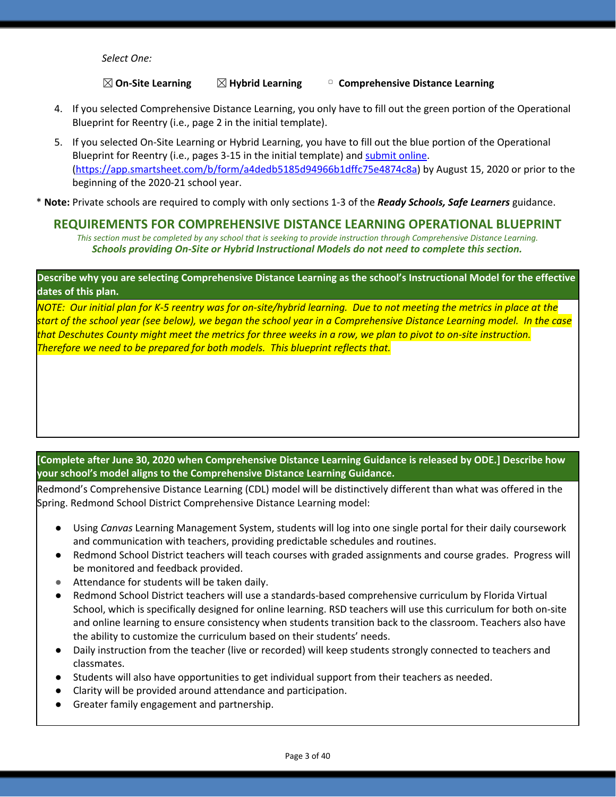*Select One:*

### ☒**On-Site Learning** ☒**Hybrid Learning** ▢ **Comprehensive Distance Learning**

- 4. If you selected Comprehensive Distance Learning, you only have to fill out the green portion of the Operational Blueprint for Reentry (i.e., page 2 in the initial template).
- 5. If you selected On-Site Learning or Hybrid Learning, you have to fill out the blue portion of the Operational Blueprint for Reentry (i.e., pages 3-15 in the initial template) and [submit](https://app.smartsheet.com/b/form/a4dedb5185d94966b1dffc75e4874c8a) online. [\(https://app.smartsheet.com/b/form/a4dedb5185d94966b1dffc75e4874c8a\)](https://app.smartsheet.com/b/form/a4dedb5185d94966b1dffc75e4874c8a) by August 15, 2020 or prior to the beginning of the 2020-21 school year.

\* **Note:** Private schools are required to comply with only sections 1-3 of the *Ready Schools, Safe Learners* guidance.

### **REQUIREMENTS FOR COMPREHENSIVE DISTANCE LEARNING OPERATIONAL BLUEPRINT**

*This section must be completed by any school that is seeking to provide instruction through Comprehensive Distance Learning. Schools providing On-Site or Hybrid Instructional Models do not need to complete this section.*

### Describe why you are selecting Comprehensive Distance Learning as the school's Instructional Model for the effective **dates of this plan.**

NOTE: Our initial plan for K-5 reentry was for on-site/hybrid learning. Due to not meeting the metrics in place at the start of the school year (see below), we began the school year in a Comprehensive Distance Learning model. In the case that Deschutes County might meet the metrics for three weeks in a row, we plan to pivot to on-site instruction. *Therefore we need to be prepared for both models. This blueprint reflects that.*

### **[Complete after June 30, 2020 when Comprehensive Distance Learning Guidance is released by ODE.] Describe how your school's model aligns to the Comprehensive Distance Learning Guidance.**

Redmond's Comprehensive Distance Learning (CDL) model will be distinctively different than what was offered in the Spring. Redmond School District Comprehensive Distance Learning model:

- Using *Canvas* Learning Management System, students will log into one single portal for their daily coursework and communication with teachers, providing predictable schedules and routines.
- Redmond School District teachers will teach courses with graded assignments and course grades. Progress will be monitored and feedback provided.
- Attendance for students will be taken daily.
- Redmond School District teachers will use a standards-based comprehensive curriculum by Florida Virtual School, which is specifically designed for online learning. RSD teachers will use this curriculum for both on-site and online learning to ensure consistency when students transition back to the classroom. Teachers also have the ability to customize the curriculum based on their students' needs.
- Daily instruction from the teacher (live or recorded) will keep students strongly connected to teachers and classmates.
- Students will also have opportunities to get individual support from their teachers as needed.
- Clarity will be provided around attendance and participation.
- Greater family engagement and partnership.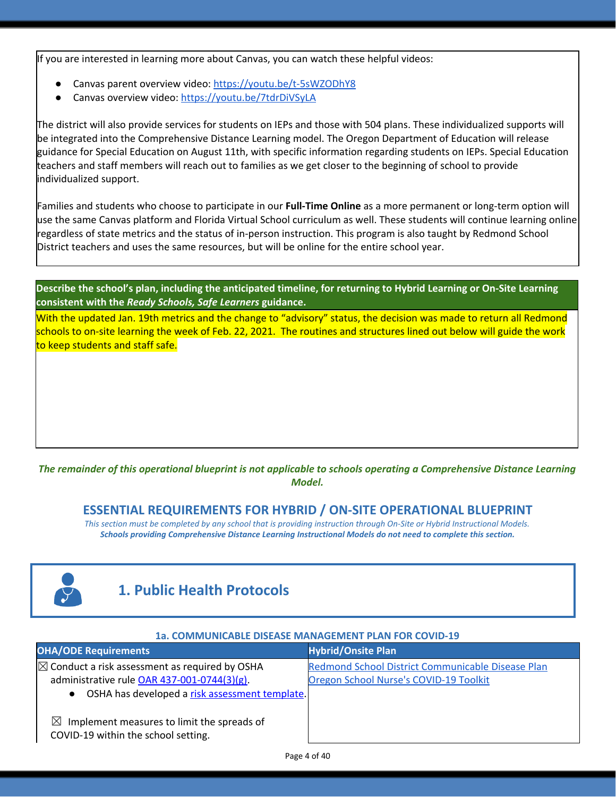If you are interested in learning more about Canvas, you can watch these helpful videos:

- Canvas parent overview video: <https://youtu.be/t-5sWZODhY8>
- Canvas overview video: <https://youtu.be/7tdrDiVSyLA>

The district will also provide services for students on IEPs and those with 504 plans. These individualized supports will be integrated into the Comprehensive Distance Learning model. The Oregon Department of Education will release guidance for Special Education on August 11th, with specific information regarding students on IEPs. Special Education teachers and staff members will reach out to families as we get closer to the beginning of school to provide individualized support.

Families and students who choose to participate in our **Full-Time Online** as a more permanent or long-term option will use the same Canvas platform and Florida Virtual School curriculum as well. These students will continue learning online regardless of state metrics and the status of in-person instruction. This program is also taught by Redmond School District teachers and uses the same resources, but will be online for the entire school year.

Describe the school's plan, including the anticipated timeline, for returning to Hybrid Learning or On-Site Learning **consistent with the** *Ready Schools, Safe Learners* **guidance.**

With the updated Jan. 19th metrics and the change to "advisory" status, the decision was made to return all Redmond schools to on-site learning the week of Feb. 22, 2021. The routines and structures lined out below will guide the work to keep students and staff safe.

### The remainder of this operational blueprint is not applicable to schools operating a Comprehensive Distance Learning *Model.*

### **ESSENTIAL REQUIREMENTS FOR HYBRID / ON-SITE OPERATIONAL BLUEPRINT**

*This section must be completed by any school that is providing instruction through On-Site or Hybrid Instructional Models. Schools providing Comprehensive Distance Learning Instructional Models do not need to complete this section.*



## **1. Public Health Protocols**

#### **1a. COMMUNICABLE DISEASE MANAGEMENT PLAN FOR COVID-19**

| <b>OHA/ODE Requirements</b>                                                                    | <b>Hybrid/Onsite Plan</b>                         |
|------------------------------------------------------------------------------------------------|---------------------------------------------------|
| $\boxtimes$ Conduct a risk assessment as required by OSHA                                      | Redmond School District Communicable Disease Plan |
| administrative rule OAR 437-001-0744(3)(g).                                                    | Oregon School Nurse's COVID-19 Toolkit            |
| • OSHA has developed a risk assessment template.                                               |                                                   |
| $\bowtie$<br>Implement measures to limit the spreads of<br>COVID-19 within the school setting. |                                                   |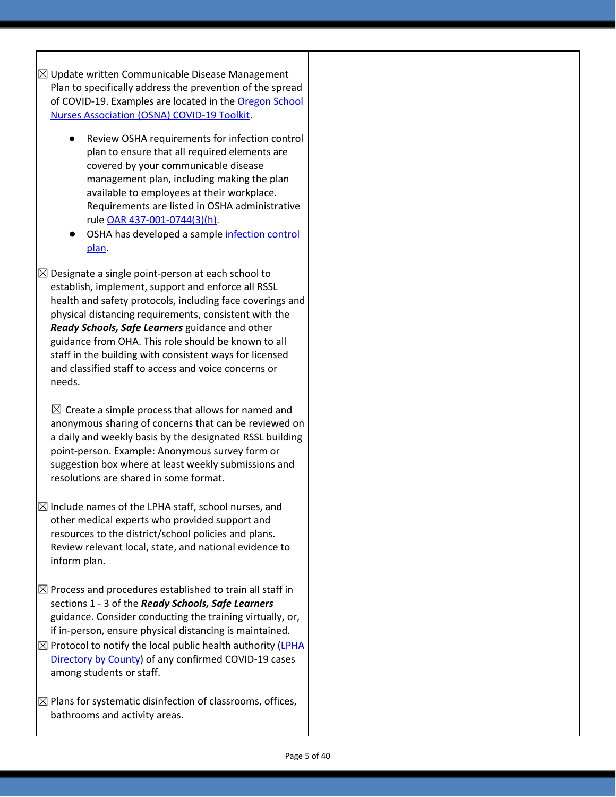$\boxtimes$  Update written Communicable Disease Management Plan to specifically address the prevention of the spread of COVID-19. Examples are located in the [Oregon](https://www.oregonschoolnurses.org/resources/covid-19-toolkit) School Nurses [Association](https://www.oregonschoolnurses.org/resources/covid-19-toolkit) (OSNA) COVID-19 Toolkit.

- Review OSHA requirements for infection control plan to ensure that all required elements are covered by your communicable disease management plan, including making the plan available to employees at their workplace. Requirements are listed in OSHA administrative rule OAR [437-001-0744\(3\)\(h\)](https://secure.sos.state.or.us/oard/viewSingleRule.action?ruleVrsnRsn=274961).
- OSHA has d[e](https://osha.oregon.gov/OSHAPubs/pubform/infection-control-plan.docx)veloped a sample [infection](https://osha.oregon.gov/OSHAPubs/pubform/infection-control-plan.docx) control [plan.](https://osha.oregon.gov/OSHAPubs/pubform/infection-control-plan.docx)

 $\boxtimes$  Designate a single point-person at each school to establish, implement, support and enforce all RSSL health and safety protocols, including face coverings and physical distancing requirements, consistent with the *Ready Schools, Safe Learners* guidance and other guidance from OHA. This role should be known to all staff in the building with consistent ways for licensed and classified staff to access and voice concerns or needs.

 $\boxtimes$  Create a simple process that allows for named and anonymous sharing of concerns that can be reviewed on a daily and weekly basis by the designated RSSL building point-person. Example: Anonymous survey form or suggestion box where at least weekly submissions and resolutions are shared in some format.

- $\boxtimes$  Include names of the LPHA staff, school nurses, and other medical experts who provided support and resources to the district/school policies and plans. Review relevant local, state, and national evidence to inform plan.
- $\boxtimes$  Process and procedures established to train all staff in sections 1 - 3 of the *Ready Schools, Safe Learners* guidance. Consider conducting the training virtually, or, if in-person, ensure physical distancing is maintained.
- $\boxtimes$  Protocol to notify the local public health authority [\(LPHA](https://www.oregon.gov/oha/ph/providerpartnerresources/localhealthdepartmentresources/pages/lhd.aspx) [Directory](https://www.oregon.gov/oha/ph/providerpartnerresources/localhealthdepartmentresources/pages/lhd.aspx) by County) of any confirmed COVID-19 cases among students or staff.
- $\boxtimes$  Plans for systematic disinfection of classrooms, offices, bathrooms and activity areas.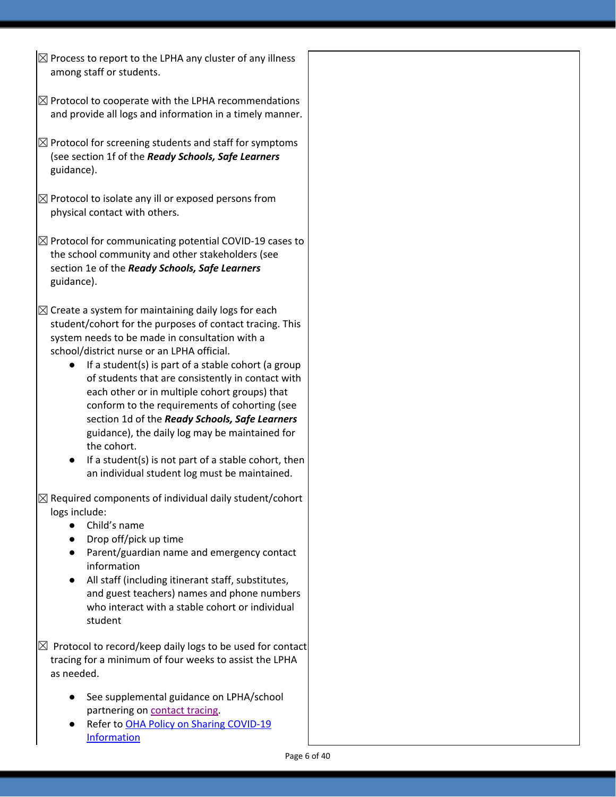- $\boxtimes$  Process to report to the LPHA any cluster of any illness among staff or students.
- $\boxtimes$  Protocol to cooperate with the LPHA recommendations and provide all logs and information in a timely manner.
- $\boxtimes$  Protocol for screening students and staff for symptoms (see section 1f of the *Ready Schools, Safe Learners* guidance).
- $\boxtimes$  Protocol to isolate any ill or exposed persons from physical contact with others.
- $\boxtimes$  Protocol for communicating potential COVID-19 cases to the school community and other stakeholders (see section 1e of the *Ready Schools, Safe Learners* guidance).
- $\boxtimes$  Create a system for maintaining daily logs for each student/cohort for the purposes of contact tracing. This system needs to be made in consultation with a school/district nurse or an LPHA official.
	- If a student(s) is part of a stable cohort (a group of students that are consistently in contact with each other or in multiple cohort groups) that conform to the requirements of cohorting (see section 1d of the *Ready Schools, Safe Learners* guidance), the daily log may be maintained for the cohort.
	- If a student(s) is not part of a stable cohort, then an individual student log must be maintained.
- $\boxtimes$  Required components of individual daily student/cohort logs include:
	- Child's name
	- Drop off/pick up time
	- Parent/guardian name and emergency contact information
	- All staff (including itinerant staff, substitutes, and guest teachers) names and phone numbers who interact with a stable cohort or individual student

 $\boxtimes$  Protocol to record/keep daily logs to be used for contact tracing for a minimum of four weeks to assist the LPHA as needed.

- See supplemental guidance on LPHA/school partnering on [contact](https://www.oregon.gov/ode/students-and-family/healthsafety/Documents/LPHA%20Capacity%20Needs%20and%20Contact%20Tracing.pdf) tracing.
- Refer t[o](https://www.oregon.gov/ode/students-and-family/healthsafety/Documents/Sharing%20COVID%20Information%20with%20Schools.pdf) OHA Policy on Sharing [COVID-19](https://www.oregon.gov/ode/students-and-family/healthsafety/Documents/Sharing%20COVID%20Information%20with%20Schools.pdf) [Information](https://www.oregon.gov/ode/students-and-family/healthsafety/Documents/Sharing%20COVID%20Information%20with%20Schools.pdf)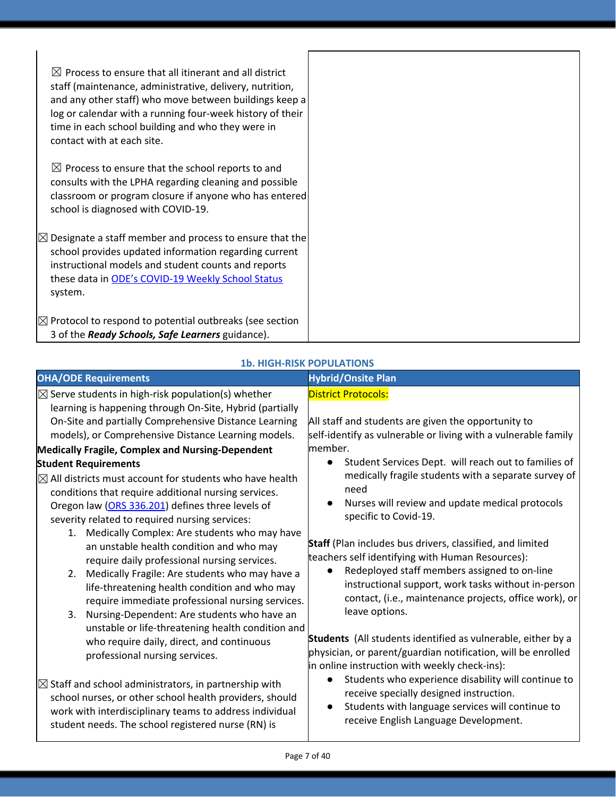| $\boxtimes$ Process to ensure that all itinerant and all district<br>staff (maintenance, administrative, delivery, nutrition,<br>and any other staff) who move between buildings keep a<br>log or calendar with a running four-week history of their<br>time in each school building and who they were in<br>contact with at each site. |
|-----------------------------------------------------------------------------------------------------------------------------------------------------------------------------------------------------------------------------------------------------------------------------------------------------------------------------------------|
| $\boxtimes$ Process to ensure that the school reports to and<br>consults with the LPHA regarding cleaning and possible<br>classroom or program closure if anyone who has entered<br>school is diagnosed with COVID-19.                                                                                                                  |
| $\boxtimes$ Designate a staff member and process to ensure that the<br>school provides updated information regarding current<br>instructional models and student counts and reports<br>these data in ODE's COVID-19 Weekly School Status<br>system.                                                                                     |
| $\boxtimes$ Protocol to respond to potential outbreaks (see section<br>3 of the Ready Schools, Safe Learners guidance).                                                                                                                                                                                                                 |

| <b>OHA/ODE Requirements</b>                                                                                                                                                                                                                  | <b>Hybrid/Onsite Plan</b>                                                                                                                                                                                             |
|----------------------------------------------------------------------------------------------------------------------------------------------------------------------------------------------------------------------------------------------|-----------------------------------------------------------------------------------------------------------------------------------------------------------------------------------------------------------------------|
| $\boxtimes$ Serve students in high-risk population(s) whether                                                                                                                                                                                | <b>District Protocols:</b>                                                                                                                                                                                            |
| learning is happening through On-Site, Hybrid (partially                                                                                                                                                                                     |                                                                                                                                                                                                                       |
| On-Site and partially Comprehensive Distance Learning                                                                                                                                                                                        | All staff and students are given the opportunity to                                                                                                                                                                   |
| models), or Comprehensive Distance Learning models.                                                                                                                                                                                          | self-identify as vulnerable or living with a vulnerable family                                                                                                                                                        |
| Medically Fragile, Complex and Nursing-Dependent                                                                                                                                                                                             | member.                                                                                                                                                                                                               |
| <b>Student Requirements</b>                                                                                                                                                                                                                  | Student Services Dept. will reach out to families of<br>$\bullet$                                                                                                                                                     |
| $\boxtimes$ All districts must account for students who have health<br>conditions that require additional nursing services.                                                                                                                  | medically fragile students with a separate survey of<br>need                                                                                                                                                          |
| Oregon law (ORS 336.201) defines three levels of<br>severity related to required nursing services:                                                                                                                                           | Nurses will review and update medical protocols<br>$\bullet$<br>specific to Covid-19.                                                                                                                                 |
| Medically Complex: Are students who may have<br>1.<br>an unstable health condition and who may<br>require daily professional nursing services.                                                                                               | Staff (Plan includes bus drivers, classified, and limited<br>teachers self identifying with Human Resources):<br>Redeployed staff members assigned to on-line<br>$\bullet$                                            |
| Medically Fragile: Are students who may have a<br>2.<br>life-threatening health condition and who may<br>require immediate professional nursing services.                                                                                    | instructional support, work tasks without in-person<br>contact, (i.e., maintenance projects, office work), or<br>leave options.                                                                                       |
| Nursing-Dependent: Are students who have an<br>3.<br>unstable or life-threatening health condition and                                                                                                                                       | Students (All students identified as vulnerable, either by a                                                                                                                                                          |
| who require daily, direct, and continuous<br>professional nursing services.                                                                                                                                                                  | physician, or parent/guardian notification, will be enrolled<br>in online instruction with weekly check-ins):                                                                                                         |
| $\boxtimes$ Staff and school administrators, in partnership with<br>school nurses, or other school health providers, should<br>work with interdisciplinary teams to address individual<br>student needs. The school registered nurse (RN) is | Students who experience disability will continue to<br>$\bullet$<br>receive specially designed instruction.<br>Students with language services will continue to<br>$\bullet$<br>receive English Language Development. |

### **1b. HIGH-RISK POPULATIONS**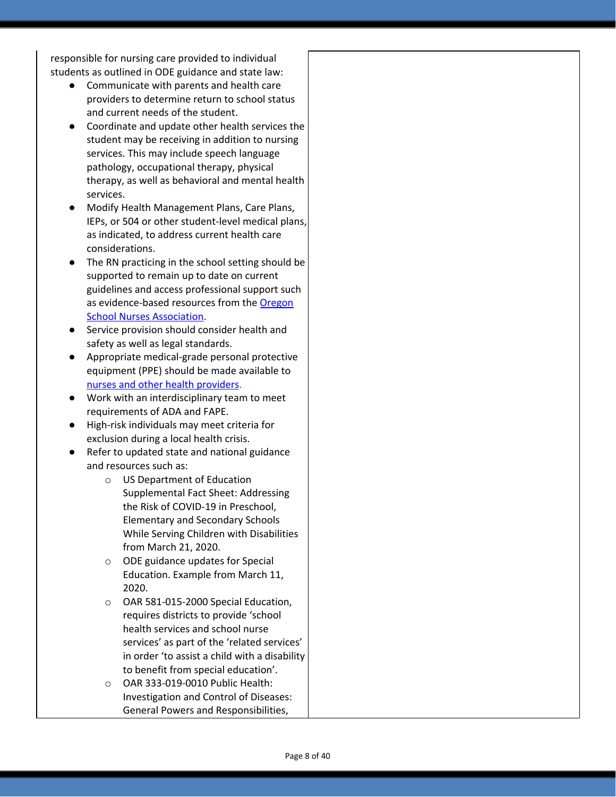responsible for nursing care provided to individual students as outlined in ODE guidance and state law:

- Communicate with parents and health care providers to determine return to school status and current needs of the student.
- Coordinate and update other health services the student may be receiving in addition to nursing services. This may include speech language pathology, occupational therapy, physical therapy, as well as behavioral and mental health services.
- Modify Health Management Plans, Care Plans, IEPs, or 504 or other student-level medical plans, as indicated, to address current health care considerations.
- The RN practicing in the school setting should be supported to remain up to date on current guidelines and access professional support such as evidence-based resources from the [Oregon](https://www.oregonschoolnurses.org/resources/covid-19-toolkit) School Nurses [Association](https://www.oregonschoolnurses.org/resources/covid-19-toolkit).
- Service provision should consider health and safety as well as legal standards.
- Appropriate medical-grade personal protective equipment (PPE) should be made available t[o](https://www.oregon.gov/ode/students-and-family/healthsafety/Documents/Additional%20Considerations%20for%20Staff%20Working%20with%20Students%20with%20Complex%20Needs.pdf) nurses and other health [providers.](https://www.oregon.gov/ode/students-and-family/healthsafety/Documents/Additional%20Considerations%20for%20Staff%20Working%20with%20Students%20with%20Complex%20Needs.pdf)
- Work with an interdisciplinary team to meet requirements of ADA and FAPE.
- High-risk individuals may meet criteria for exclusion during a local health crisis.
- Refer to updated state and national guidance and resources such as:
	- o US Department of Education Supplemental Fact Sheet: Addressing the Risk of COVID-19 in Preschool, Elementary and Secondary Schools While Serving Children with Disabilities from March 21, 2020.
	- o ODE guidance updates for Special Education. Example from March 11, 2020.
	- o OAR 581-015-2000 Special Education, requires districts to provide 'school health services and school nurse services' as part of the 'related services' in order 'to assist a child with a disability to benefit from special education'.
	- o OAR 333-019-0010 Public Health: Investigation and Control of Diseases: General Powers and Responsibilities,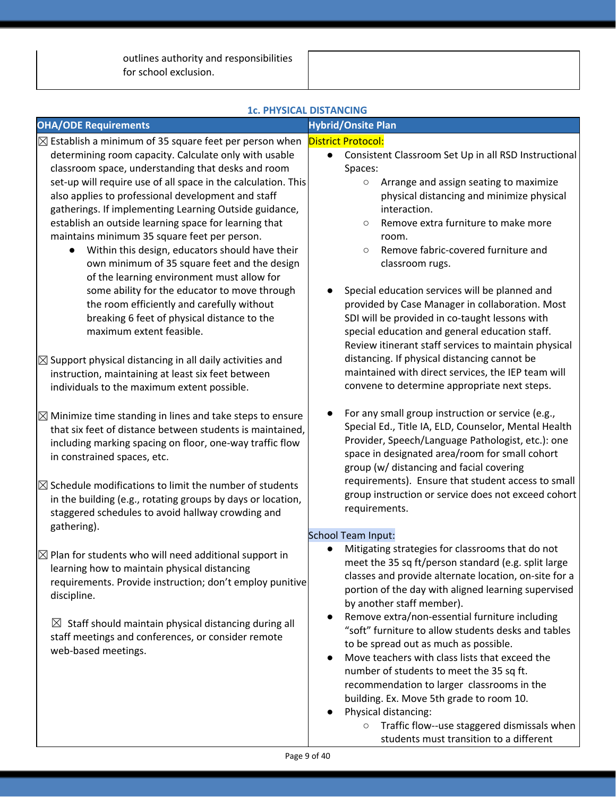outlines authority and responsibilities for school exclusion.

| $\boxtimes$ Establish a minimum of 35 square feet per person when<br><b>District Protocol:</b><br>Consistent Classroom Set Up in all RSD Instructional<br>$\bullet$                                                                                                                                                                                                                                                                                                                                                                                                                                                                                                                                                                                                                                                                                                                                                                                                   |
|-----------------------------------------------------------------------------------------------------------------------------------------------------------------------------------------------------------------------------------------------------------------------------------------------------------------------------------------------------------------------------------------------------------------------------------------------------------------------------------------------------------------------------------------------------------------------------------------------------------------------------------------------------------------------------------------------------------------------------------------------------------------------------------------------------------------------------------------------------------------------------------------------------------------------------------------------------------------------|
| Spaces:<br>set-up will require use of all space in the calculation. This<br>Arrange and assign seating to maximize<br>$\circ$<br>physical distancing and minimize physical<br>interaction.<br>Remove extra furniture to make more<br>$\circ$<br>room.<br>Remove fabric-covered furniture and<br>$\circ$<br>classroom rugs.<br>Special education services will be planned and<br>provided by Case Manager in collaboration. Most<br>SDI will be provided in co-taught lessons with<br>special education and general education staff.<br>Review itinerant staff services to maintain physical<br>distancing. If physical distancing cannot be<br>maintained with direct services, the IEP team will<br>convene to determine appropriate next steps.<br>For any small group instruction or service (e.g.,<br>Special Ed., Title IA, ELD, Counselor, Mental Health<br>Provider, Speech/Language Pathologist, etc.): one<br>space in designated area/room for small cohort |
| group (w/ distancing and facial covering<br>requirements). Ensure that student access to small<br>group instruction or service does not exceed cohort<br>requirements.                                                                                                                                                                                                                                                                                                                                                                                                                                                                                                                                                                                                                                                                                                                                                                                                |
| <b>School Team Input:</b>                                                                                                                                                                                                                                                                                                                                                                                                                                                                                                                                                                                                                                                                                                                                                                                                                                                                                                                                             |
| Mitigating strategies for classrooms that do not<br>meet the 35 sq ft/person standard (e.g. split large<br>classes and provide alternate location, on-site for a<br>requirements. Provide instruction; don't employ punitive<br>portion of the day with aligned learning supervised<br>by another staff member).<br>Remove extra/non-essential furniture including<br>"soft" furniture to allow students desks and tables<br>to be spread out as much as possible.<br>Move teachers with class lists that exceed the<br>$\bullet$<br>number of students to meet the 35 sq ft.<br>recommendation to larger classrooms in the<br>building. Ex. Move 5th grade to room 10.<br>Physical distancing:<br>Traffic flow--use staggered dismissals when<br>$\circ$                                                                                                                                                                                                             |
| own minimum of 35 square feet and the design<br>$\boxtimes$ Minimize time standing in lines and take steps to ensure<br>that six feet of distance between students is maintained,<br>including marking spacing on floor, one-way traffic flow<br>in the building (e.g., rotating groups by days or location,                                                                                                                                                                                                                                                                                                                                                                                                                                                                                                                                                                                                                                                          |

### **1c. PHYSICAL DISTANCING**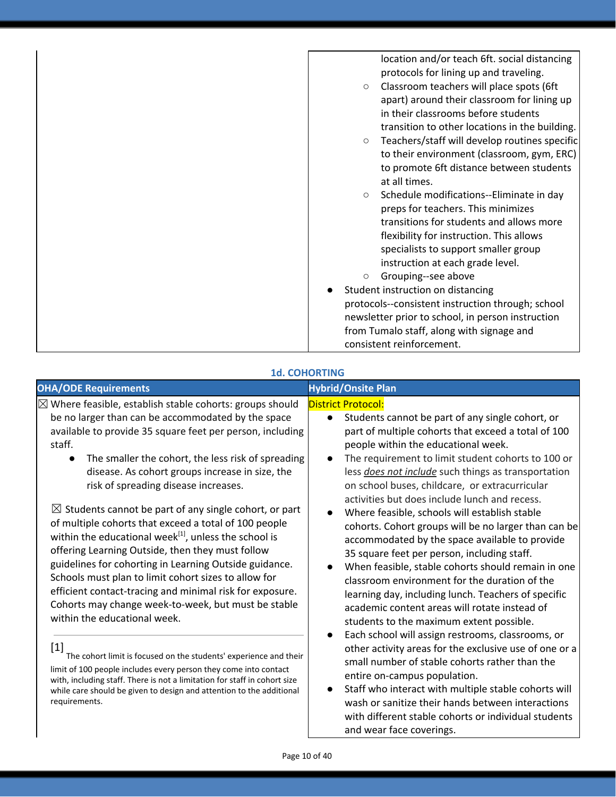| location and/or teach 6ft. social distancing<br>protocols for lining up and traveling. |
|----------------------------------------------------------------------------------------|
| Classroom teachers will place spots (6ft<br>$\circ$                                    |
| apart) around their classroom for lining up                                            |
| in their classrooms before students                                                    |
| transition to other locations in the building.                                         |
| Teachers/staff will develop routines specific<br>$\circ$                               |
| to their environment (classroom, gym, ERC)                                             |
| to promote 6ft distance between students                                               |
| at all times.                                                                          |
| Schedule modifications--Eliminate in day<br>$\circ$                                    |
| preps for teachers. This minimizes                                                     |
| transitions for students and allows more                                               |
| flexibility for instruction. This allows                                               |
| specialists to support smaller group                                                   |
| instruction at each grade level.                                                       |
| Grouping--see above<br>$\circ$                                                         |
| Student instruction on distancing                                                      |
| protocols--consistent instruction through; school                                      |
| newsletter prior to school, in person instruction                                      |
| from Tumalo staff, along with signage and                                              |
| consistent reinforcement.                                                              |

### **1d. COHORTING**

| <b>District Protocol:</b><br>be no larger than can be accommodated by the space<br>Students cannot be part of any single cohort, or<br>$\bullet$<br>available to provide 35 square feet per person, including<br>part of multiple cohorts that exceed a total of 100<br>staff.<br>people within the educational week.<br>The requirement to limit student cohorts to 100 or<br>The smaller the cohort, the less risk of spreading<br>$\bullet$<br>$\bullet$<br>disease. As cohort groups increase in size, the<br>less <i>does not include</i> such things as transportation<br>risk of spreading disease increases.<br>on school buses, childcare, or extracurricular<br>activities but does include lunch and recess.<br>$\boxtimes$ Students cannot be part of any single cohort, or part<br>Where feasible, schools will establish stable<br>of multiple cohorts that exceed a total of 100 people<br>cohorts. Cohort groups will be no larger than can be<br>within the educational week <sup>[1]</sup> , unless the school is<br>accommodated by the space available to provide<br>offering Learning Outside, then they must follow<br>35 square feet per person, including staff.<br>guidelines for cohorting in Learning Outside guidance.<br>When feasible, stable cohorts should remain in one<br>Schools must plan to limit cohort sizes to allow for<br>classroom environment for the duration of the<br>efficient contact-tracing and minimal risk for exposure.<br>learning day, including lunch. Teachers of specific<br>Cohorts may change week-to-week, but must be stable<br>academic content areas will rotate instead of<br>within the educational week.<br>students to the maximum extent possible.<br>Each school will assign restrooms, classrooms, or<br>$[1] % \includegraphics[width=0.9\columnwidth]{figures/fig_10.pdf} \caption{The figure shows the number of times on the right, and the number of times on the right, respectively. The left and right is the number of times on the right, respectively.} \label{fig:time}$<br>other activity areas for the exclusive use of one or a<br>The cohort limit is focused on the students' experience and their<br>small number of stable cohorts rather than the<br>limit of 100 people includes every person they come into contact<br>entire on-campus population.<br>with, including staff. There is not a limitation for staff in cohort size<br>Staff who interact with multiple stable cohorts will<br>while care should be given to design and attention to the additional<br>requirements.<br>wash or sanitize their hands between interactions<br>with different stable cohorts or individual students<br>and wear face coverings. | <b>OHA/ODE Requirements</b>                                         | <b>Hybrid/Onsite Plan</b> |
|--------------------------------------------------------------------------------------------------------------------------------------------------------------------------------------------------------------------------------------------------------------------------------------------------------------------------------------------------------------------------------------------------------------------------------------------------------------------------------------------------------------------------------------------------------------------------------------------------------------------------------------------------------------------------------------------------------------------------------------------------------------------------------------------------------------------------------------------------------------------------------------------------------------------------------------------------------------------------------------------------------------------------------------------------------------------------------------------------------------------------------------------------------------------------------------------------------------------------------------------------------------------------------------------------------------------------------------------------------------------------------------------------------------------------------------------------------------------------------------------------------------------------------------------------------------------------------------------------------------------------------------------------------------------------------------------------------------------------------------------------------------------------------------------------------------------------------------------------------------------------------------------------------------------------------------------------------------------------------------------------------------------------------------------------------------------------------------------------------------------------------------------------------------------------------------------------------------------------------------------------------------------------------------------------------------------------------------------------------------------------------------------------------------------------------------------------------------------------------------------------------------------------------------------------------------------------------------------------------------------------------------------------------------------------------------------------------------------------|---------------------------------------------------------------------|---------------------------|
|                                                                                                                                                                                                                                                                                                                                                                                                                                                                                                                                                                                                                                                                                                                                                                                                                                                                                                                                                                                                                                                                                                                                                                                                                                                                                                                                                                                                                                                                                                                                                                                                                                                                                                                                                                                                                                                                                                                                                                                                                                                                                                                                                                                                                                                                                                                                                                                                                                                                                                                                                                                                                                                                                                                          | $\boxtimes$ Where feasible, establish stable cohorts: groups should |                           |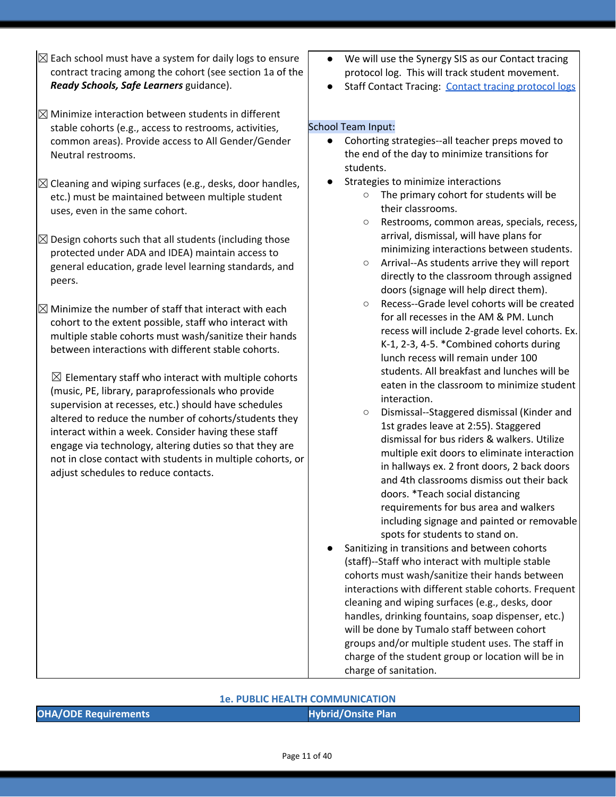- $\boxtimes$  Each school must have a system for daily logs to ensure contract tracing among the cohort (see section 1a of the *Ready Schools, Safe Learners* guidance).
- $\boxtimes$  Minimize interaction between students in different stable cohorts (e.g., access to restrooms, activities, common areas). Provide access to All Gender/Gender Neutral restrooms.
- $\boxtimes$  Cleaning and wiping surfaces (e.g., desks, door handles, etc.) must be maintained between multiple student uses, even in the same cohort.
- $\boxtimes$  Design cohorts such that all students (including those protected under ADA and IDEA) maintain access to general education, grade level learning standards, and peers.
- $\boxtimes$  Minimize the number of staff that interact with each cohort to the extent possible, staff who interact with multiple stable cohorts must wash/sanitize their hands between interactions with different stable cohorts.

 $\boxtimes$  Elementary staff who interact with multiple cohorts (music, PE, library, paraprofessionals who provide supervision at recesses, etc.) should have schedules altered to reduce the number of cohorts/students they interact within a week. Consider having these staff engage via technology, altering duties so that they are not in close contact with students in multiple cohorts, or adjust schedules to reduce contacts.

- We will use the Synergy SIS as our Contact tracing protocol log. This will track student movement.
- Staff Contact Tracing: Contact tracing [protocol](https://docs.google.com/document/d/1hj6nIWiN7zIQ6gVQLIsV3iR_tX3w8YgSvfHYoRkBuCc/edit?usp=sharing) logs

### School Team Input:

- Cohorting strategies--all teacher preps moved to the end of the day to minimize transitions for students.
- Strategies to minimize interactions
	- The primary cohort for students will be their classrooms.
	- Restrooms, common areas, specials, recess, arrival, dismissal, will have plans for minimizing interactions between students.
	- Arrival--As students arrive they will report directly to the classroom through assigned doors (signage will help direct them).
	- Recess--Grade level cohorts will be created for all recesses in the AM & PM. Lunch recess will include 2-grade level cohorts. Ex. K-1, 2-3, 4-5. \*Combined cohorts during lunch recess will remain under 100 students. All breakfast and lunches will be eaten in the classroom to minimize student interaction.
	- Dismissal--Staggered dismissal (Kinder and 1st grades leave at 2:55). Staggered dismissal for bus riders & walkers. Utilize multiple exit doors to eliminate interaction in hallways ex. 2 front doors, 2 back doors and 4th classrooms dismiss out their back doors. \*Teach social distancing requirements for bus area and walkers including signage and painted or removable spots for students to stand on.
- Sanitizing in transitions and between cohorts (staff)--Staff who interact with multiple stable cohorts must wash/sanitize their hands between interactions with different stable cohorts. Frequent cleaning and wiping surfaces (e.g., desks, door handles, drinking fountains, soap dispenser, etc.) will be done by Tumalo staff between cohort groups and/or multiple student uses. The staff in charge of the student group or location will be in charge of sanitation.

#### **1e. PUBLIC HEALTH COMMUNICATION**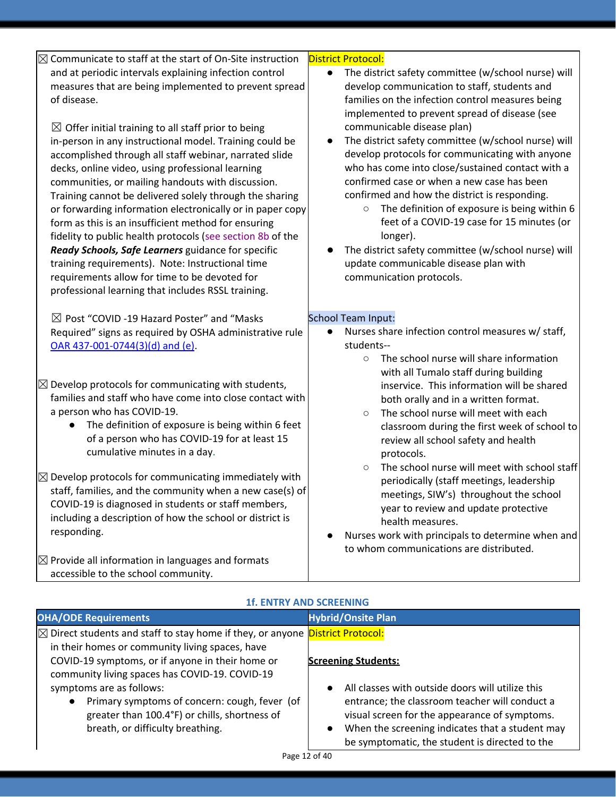| $\boxtimes$ Communicate to staff at the start of On-Site instruction<br>and at periodic intervals explaining infection control<br>measures that are being implemented to prevent spread<br>of disease.<br>$\boxtimes$ Offer initial training to all staff prior to being<br>in-person in any instructional model. Training could be<br>accomplished through all staff webinar, narrated slide<br>decks, online video, using professional learning<br>communities, or mailing handouts with discussion.<br>Training cannot be delivered solely through the sharing<br>or forwarding information electronically or in paper copy<br>form as this is an insufficient method for ensuring<br>fidelity to public health protocols (see section 8b of the<br>Ready Schools, Safe Learners guidance for specific<br>training requirements). Note: Instructional time<br>requirements allow for time to be devoted for<br>professional learning that includes RSSL training. | <b>District Protocol:</b><br>The district safety committee (w/school nurse) will<br>$\bullet$<br>develop communication to staff, students and<br>families on the infection control measures being<br>implemented to prevent spread of disease (see<br>communicable disease plan)<br>The district safety committee (w/school nurse) will<br>$\bullet$<br>develop protocols for communicating with anyone<br>who has come into close/sustained contact with a<br>confirmed case or when a new case has been<br>confirmed and how the district is responding.<br>The definition of exposure is being within 6<br>$\bigcirc$<br>feet of a COVID-19 case for 15 minutes (or<br>longer).<br>The district safety committee (w/school nurse) will<br>update communicable disease plan with<br>communication protocols. |
|----------------------------------------------------------------------------------------------------------------------------------------------------------------------------------------------------------------------------------------------------------------------------------------------------------------------------------------------------------------------------------------------------------------------------------------------------------------------------------------------------------------------------------------------------------------------------------------------------------------------------------------------------------------------------------------------------------------------------------------------------------------------------------------------------------------------------------------------------------------------------------------------------------------------------------------------------------------------|----------------------------------------------------------------------------------------------------------------------------------------------------------------------------------------------------------------------------------------------------------------------------------------------------------------------------------------------------------------------------------------------------------------------------------------------------------------------------------------------------------------------------------------------------------------------------------------------------------------------------------------------------------------------------------------------------------------------------------------------------------------------------------------------------------------|
| $\boxtimes$ Post "COVID -19 Hazard Poster" and "Masks<br>Required" signs as required by OSHA administrative rule<br>OAR 437-001-0744(3)(d) and (e).                                                                                                                                                                                                                                                                                                                                                                                                                                                                                                                                                                                                                                                                                                                                                                                                                  | School Team Input:<br>Nurses share infection control measures w/ staff,<br>students--<br>The school nurse will share information<br>$\circ$<br>with all Tumalo staff during building                                                                                                                                                                                                                                                                                                                                                                                                                                                                                                                                                                                                                           |
| $\boxtimes$ Develop protocols for communicating with students,<br>families and staff who have come into close contact with<br>a person who has COVID-19.<br>The definition of exposure is being within 6 feet<br>$\bullet$<br>of a person who has COVID-19 for at least 15<br>cumulative minutes in a day.                                                                                                                                                                                                                                                                                                                                                                                                                                                                                                                                                                                                                                                           | inservice. This information will be shared<br>both orally and in a written format.<br>The school nurse will meet with each<br>$\circ$<br>classroom during the first week of school to<br>review all school safety and health<br>protocols.                                                                                                                                                                                                                                                                                                                                                                                                                                                                                                                                                                     |
| $\boxtimes$ Develop protocols for communicating immediately with<br>staff, families, and the community when a new case(s) of<br>COVID-19 is diagnosed in students or staff members,<br>including a description of how the school or district is<br>responding.                                                                                                                                                                                                                                                                                                                                                                                                                                                                                                                                                                                                                                                                                                       | The school nurse will meet with school staff<br>$\circ$<br>periodically (staff meetings, leadership<br>meetings, SIW's) throughout the school<br>year to review and update protective<br>health measures.<br>Nurses work with principals to determine when and<br>to whom communications are distributed.                                                                                                                                                                                                                                                                                                                                                                                                                                                                                                      |
| $\boxtimes$ Provide all information in languages and formats<br>accessible to the school community.                                                                                                                                                                                                                                                                                                                                                                                                                                                                                                                                                                                                                                                                                                                                                                                                                                                                  |                                                                                                                                                                                                                                                                                                                                                                                                                                                                                                                                                                                                                                                                                                                                                                                                                |
| <b>1f. ENTRY AND SCREENING</b>                                                                                                                                                                                                                                                                                                                                                                                                                                                                                                                                                                                                                                                                                                                                                                                                                                                                                                                                       |                                                                                                                                                                                                                                                                                                                                                                                                                                                                                                                                                                                                                                                                                                                                                                                                                |
| <b>OHA/ODE Requirements</b>                                                                                                                                                                                                                                                                                                                                                                                                                                                                                                                                                                                                                                                                                                                                                                                                                                                                                                                                          | <b>Hybrid/Onsite Plan</b>                                                                                                                                                                                                                                                                                                                                                                                                                                                                                                                                                                                                                                                                                                                                                                                      |

| OHA/ODE Requirements                                                                            | <b>Hybrid/Onsite Plan</b>                                     |
|-------------------------------------------------------------------------------------------------|---------------------------------------------------------------|
| $\boxtimes$ Direct students and staff to stay home if they, or anyone <b>District Protocol:</b> |                                                               |
| in their homes or community living spaces, have                                                 |                                                               |
| COVID-19 symptoms, or if anyone in their home or                                                | <b>Screening Students:</b>                                    |
| community living spaces has COVID-19. COVID-19                                                  |                                                               |
| symptoms are as follows:                                                                        | All classes with outside doors will utilize this<br>$\bullet$ |
| Primary symptoms of concern: cough, fever (of<br>$\bullet$                                      | entrance; the classroom teacher will conduct a                |
| greater than 100.4°F) or chills, shortness of                                                   | visual screen for the appearance of symptoms.                 |
| breath, or difficulty breathing.                                                                | When the screening indicates that a student may<br>$\bullet$  |
|                                                                                                 | be symptomatic, the student is directed to the                |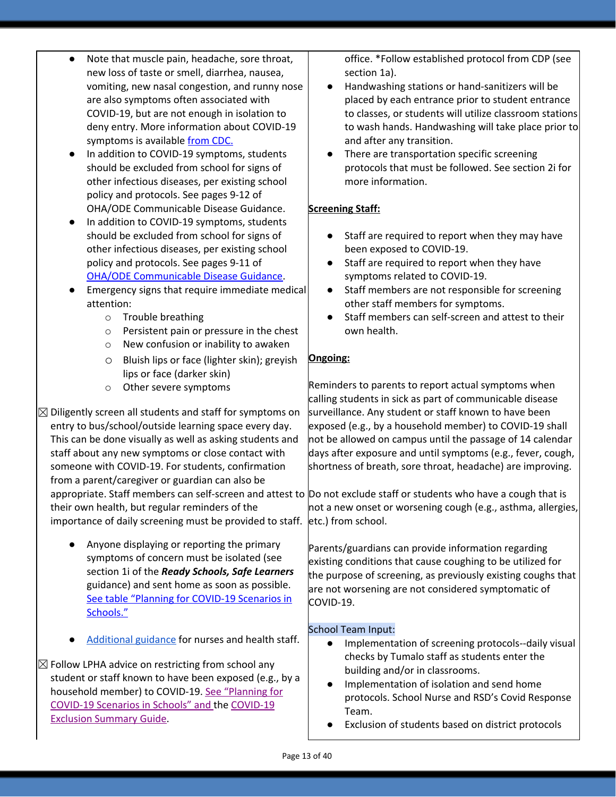| Note that muscle pain, headache, sore throat,<br>$\bullet$<br>new loss of taste or smell, diarrhea, nausea,<br>vomiting, new nasal congestion, and runny nose<br>are also symptoms often associated with<br>COVID-19, but are not enough in isolation to<br>deny entry. More information about COVID-19<br>symptoms is available from CDC.<br>In addition to COVID-19 symptoms, students<br>$\bullet$<br>should be excluded from school for signs of<br>other infectious diseases, per existing school<br>policy and protocols. See pages 9-12 of | office. *Follow established protocol from CDP (see<br>section 1a).<br>Handwashing stations or hand-sanitizers will be<br>placed by each entrance prior to student entrance<br>to classes, or students will utilize classroom stations<br>to wash hands. Handwashing will take place prior to<br>and after any transition.<br>There are transportation specific screening<br>protocols that must be followed. See section 2i for<br>more information.                                                                                                                                                                                      |
|---------------------------------------------------------------------------------------------------------------------------------------------------------------------------------------------------------------------------------------------------------------------------------------------------------------------------------------------------------------------------------------------------------------------------------------------------------------------------------------------------------------------------------------------------|-------------------------------------------------------------------------------------------------------------------------------------------------------------------------------------------------------------------------------------------------------------------------------------------------------------------------------------------------------------------------------------------------------------------------------------------------------------------------------------------------------------------------------------------------------------------------------------------------------------------------------------------|
| OHA/ODE Communicable Disease Guidance.<br>In addition to COVID-19 symptoms, students<br>$\bullet$<br>should be excluded from school for signs of<br>other infectious diseases, per existing school<br>policy and protocols. See pages 9-11 of<br><b>OHA/ODE Communicable Disease Guidance.</b><br>Emergency signs that require immediate medical<br>$\bullet$<br>attention:                                                                                                                                                                       | <b>Screening Staff:</b><br>Staff are required to report when they may have<br>been exposed to COVID-19.<br>Staff are required to report when they have<br>symptoms related to COVID-19.<br>Staff members are not responsible for screening<br>$\bullet$<br>other staff members for symptoms.                                                                                                                                                                                                                                                                                                                                              |
| Trouble breathing<br>$\circ$<br>Persistent pain or pressure in the chest<br>$\circ$<br>New confusion or inability to awaken<br>$\circ$<br>Bluish lips or face (lighter skin); greyish<br>$\circ$<br>lips or face (darker skin)                                                                                                                                                                                                                                                                                                                    | Staff members can self-screen and attest to their<br>own health.<br>Ongoing:                                                                                                                                                                                                                                                                                                                                                                                                                                                                                                                                                              |
| Other severe symptoms<br>$\circ$<br>$\boxtimes$ Diligently screen all students and staff for symptoms on<br>entry to bus/school/outside learning space every day.<br>This can be done visually as well as asking students and<br>staff about any new symptoms or close contact with<br>someone with COVID-19. For students, confirmation<br>from a parent/caregiver or guardian can also be<br>their own health, but regular reminders of the<br>importance of daily screening must be provided to staff.                                         | Reminders to parents to report actual symptoms when<br>calling students in sick as part of communicable disease<br>surveillance. Any student or staff known to have been<br>exposed (e.g., by a household member) to COVID-19 shall<br>not be allowed on campus until the passage of 14 calendar<br>days after exposure and until symptoms (e.g., fever, cough,<br>shortness of breath, sore throat, headache) are improving.<br>appropriate. Staff members can self-screen and attest to Do not exclude staff or students who have a cough that is<br>not a new onset or worsening cough (e.g., asthma, allergies,<br>etc.) from school. |
| Anyone displaying or reporting the primary<br>$\bullet$<br>symptoms of concern must be isolated (see<br>section 1i of the Ready Schools, Safe Learners<br>guidance) and sent home as soon as possible.<br>See table "Planning for COVID-19 Scenarios in<br>Schools."                                                                                                                                                                                                                                                                              | Parents/guardians can provide information regarding<br>existing conditions that cause coughing to be utilized for<br>the purpose of screening, as previously existing coughs that<br>are not worsening are not considered symptomatic of<br>COVID-19.                                                                                                                                                                                                                                                                                                                                                                                     |
| Additional guidance for nurses and health staff.<br>$\boxtimes$ Follow LPHA advice on restricting from school any<br>student or staff known to have been exposed (e.g., by a<br>household member) to COVID-19. See "Planning for<br>COVID-19 Scenarios in Schools" and the COVID-19<br><b>Exclusion Summary Guide.</b>                                                                                                                                                                                                                            | <b>School Team Input:</b><br>Implementation of screening protocols--daily visual<br>$\bullet$<br>checks by Tumalo staff as students enter the<br>building and/or in classrooms.<br>Implementation of isolation and send home<br>protocols. School Nurse and RSD's Covid Response<br>Team.<br>Exclusion of students based on district protocols                                                                                                                                                                                                                                                                                            |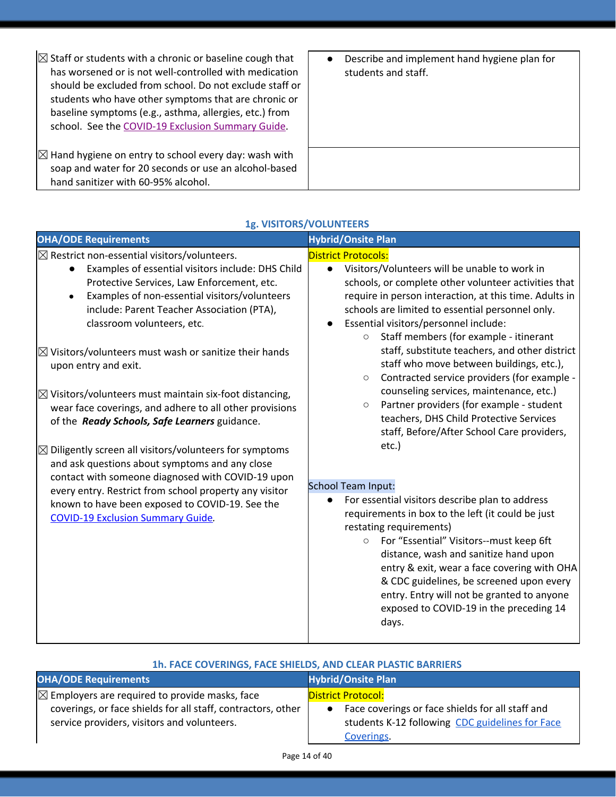| $\boxtimes$ Staff or students with a chronic or baseline cough that<br>has worsened or is not well-controlled with medication<br>should be excluded from school. Do not exclude staff or<br>students who have other symptoms that are chronic or<br>baseline symptoms (e.g., asthma, allergies, etc.) from<br>school. See the COVID-19 Exclusion Summary Guide. | Describe and implement hand hygiene plan for<br>students and staff. |
|-----------------------------------------------------------------------------------------------------------------------------------------------------------------------------------------------------------------------------------------------------------------------------------------------------------------------------------------------------------------|---------------------------------------------------------------------|
| $\boxtimes$ Hand hygiene on entry to school every day: wash with<br>soap and water for 20 seconds or use an alcohol-based<br>hand sanitizer with 60-95% alcohol.                                                                                                                                                                                                |                                                                     |

| <b>OHA/ODE Requirements</b>                                                                                                                                                                                                                                                                                                                                                                                                                                                                                                                                                                                       | <b>Hybrid/Onsite Plan</b>                                                                                                                                                                                                                                                                                                                                                                                                                                                                                              |  |
|-------------------------------------------------------------------------------------------------------------------------------------------------------------------------------------------------------------------------------------------------------------------------------------------------------------------------------------------------------------------------------------------------------------------------------------------------------------------------------------------------------------------------------------------------------------------------------------------------------------------|------------------------------------------------------------------------------------------------------------------------------------------------------------------------------------------------------------------------------------------------------------------------------------------------------------------------------------------------------------------------------------------------------------------------------------------------------------------------------------------------------------------------|--|
| $\boxtimes$ Restrict non-essential visitors/volunteers.                                                                                                                                                                                                                                                                                                                                                                                                                                                                                                                                                           | <b>District Protocols:</b>                                                                                                                                                                                                                                                                                                                                                                                                                                                                                             |  |
| Examples of essential visitors include: DHS Child<br>Protective Services, Law Enforcement, etc.                                                                                                                                                                                                                                                                                                                                                                                                                                                                                                                   | Visitors/Volunteers will be unable to work in<br>$\bullet$<br>schools, or complete other volunteer activities that                                                                                                                                                                                                                                                                                                                                                                                                     |  |
| Examples of non-essential visitors/volunteers<br>include: Parent Teacher Association (PTA),<br>classroom volunteers, etc.                                                                                                                                                                                                                                                                                                                                                                                                                                                                                         | require in person interaction, at this time. Adults in<br>schools are limited to essential personnel only.<br>Essential visitors/personnel include:                                                                                                                                                                                                                                                                                                                                                                    |  |
| $\boxtimes$ Visitors/volunteers must wash or sanitize their hands<br>upon entry and exit.<br>$\boxtimes$ Visitors/volunteers must maintain six-foot distancing,<br>wear face coverings, and adhere to all other provisions<br>of the Ready Schools, Safe Learners guidance.<br>$\boxtimes$ Diligently screen all visitors/volunteers for symptoms<br>and ask questions about symptoms and any close<br>contact with someone diagnosed with COVID-19 upon<br>every entry. Restrict from school property any visitor<br>known to have been exposed to COVID-19. See the<br><b>COVID-19 Exclusion Summary Guide.</b> | Staff members (for example - itinerant<br>$\circ$<br>staff, substitute teachers, and other district<br>staff who move between buildings, etc.),<br>Contracted service providers (for example -<br>$\circlearrowright$<br>counseling services, maintenance, etc.)<br>Partner providers (for example - student<br>$\circ$<br>teachers, DHS Child Protective Services<br>staff, Before/After School Care providers,<br>etc.)<br><b>School Team Input:</b><br>For essential visitors describe plan to address<br>$\bullet$ |  |
|                                                                                                                                                                                                                                                                                                                                                                                                                                                                                                                                                                                                                   | requirements in box to the left (it could be just<br>restating requirements)<br>For "Essential" Visitors--must keep 6ft<br>$\circ$<br>distance, wash and sanitize hand upon<br>entry & exit, wear a face covering with OHA<br>& CDC guidelines, be screened upon every<br>entry. Entry will not be granted to anyone<br>exposed to COVID-19 in the preceding 14<br>days.                                                                                                                                               |  |

### **1g. VISITORS/VOLUNTEERS**

| 1h. FACE COVERINGS, FACE SHIELDS, AND CLEAR PLASTIC BARRIERS                                                                                                             |                                                                                                                                                             |  |
|--------------------------------------------------------------------------------------------------------------------------------------------------------------------------|-------------------------------------------------------------------------------------------------------------------------------------------------------------|--|
| <b>OHA/ODE Requirements</b><br><b>Hybrid/Onsite Plan</b>                                                                                                                 |                                                                                                                                                             |  |
| $\boxtimes$ Employers are required to provide masks, face<br>coverings, or face shields for all staff, contractors, other<br>service providers, visitors and volunteers. | <b>District Protocol:</b><br>Face coverings or face shields for all staff and<br>$\bullet$<br>students K-12 following CDC guidelines for Face<br>Coverings. |  |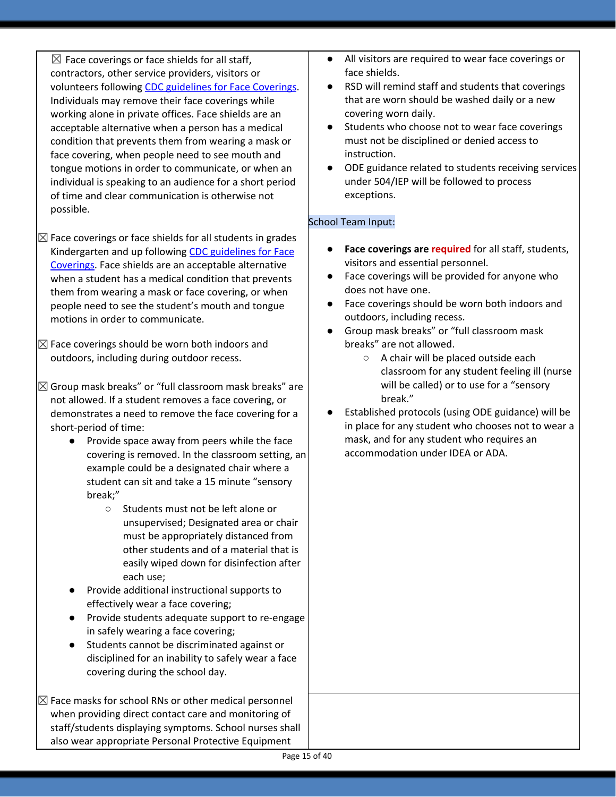$\boxtimes$  Face coverings or face shields for all staff, contractors, other service providers, visitors or volunteers following CDC [guidelines](https://www.cdc.gov/coronavirus/2019-ncov/prevent-getting-sick/diy-cloth-face-coverings.html) for Face Coverings. Individuals may remove their face coverings while working alone in private offices. Face shields are an acceptable alternative when a person has a medical condition that prevents them from wearing a mask or face covering, when people need to see mouth and tongue motions in order to communicate, or when an individual is speaking to an audience for a short period of time and clear communication is otherwise not possible.

- $\boxtimes$  Face coverings or face shields for all students in grades Kindergarten and up following CDC [guidelines](https://www.cdc.gov/coronavirus/2019-ncov/prevent-getting-sick/diy-cloth-face-coverings.html) for Face [Coverings.](https://www.cdc.gov/coronavirus/2019-ncov/prevent-getting-sick/diy-cloth-face-coverings.html) Face shields are an acceptable alternative when a student has a medical condition that prevents them from wearing a mask or face covering, or when people need to see the student's mouth and tongue motions in order to communicate.
- $\boxtimes$  Face coverings should be worn both indoors and outdoors, including during outdoor recess.
- $\boxtimes$  Group mask breaks" or "full classroom mask breaks" are not allowed. If a student removes a face covering, or demonstrates a need to remove the face covering for a short-period of time:
	- Provide space away from peers while the face covering is removed. In the classroom setting, an example could be a designated chair where a student can sit and take a 15 minute "sensory break;"
		- Students must not be left alone or unsupervised; Designated area or chair must be appropriately distanced from other students and of a material that is easily wiped down for disinfection after each use;
	- Provide additional instructional supports to effectively wear a face covering;
	- Provide students adequate support to re-engage in safely wearing a face covering;
	- Students cannot be discriminated against or disciplined for an inability to safely wear a face covering during the school day.

 $\boxtimes$  Face masks for school RNs or other medical personnel when providing direct contact care and monitoring of staff/students displaying symptoms. School nurses shall also wear appropriate Personal Protective Equipment

- All visitors are required to wear face coverings or face shields.
- RSD will remind staff and students that coverings that are worn should be washed daily or a new covering worn daily.
- Students who choose not to wear face coverings must not be disciplined or denied access to instruction.
- ODE guidance related to students receiving services under 504/IEP will be followed to process exceptions.

### School Team Input:

- **Face coverings are required** for all staff, students, visitors and essential personnel.
- Face coverings will be provided for anyone who does not have one.
- Face coverings should be worn both indoors and outdoors, including recess.
- Group mask breaks" or "full classroom mask breaks" are not allowed.
	- A chair will be placed outside each classroom for any student feeling ill (nurse will be called) or to use for a "sensory break."
- Established protocols (using ODE guidance) will be in place for any student who chooses not to wear a mask, and for any student who requires an accommodation under IDEA or ADA.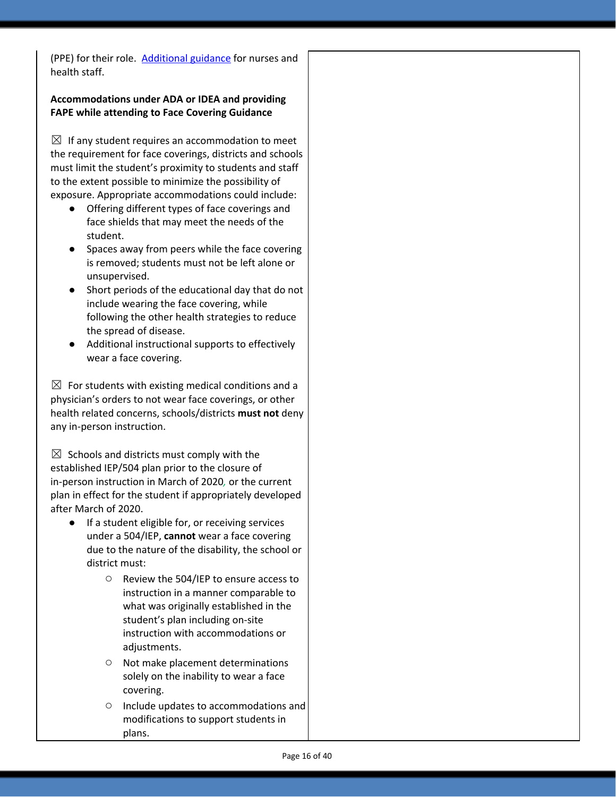(PPE) for their role. [Additional](https://www.oregon.gov/ode/students-and-family/healthsafety/Documents/Additional%20Considerations%20for%20Staff%20Working%20with%20Students%20with%20Complex%20Needs.pdf) guidance for nurses and health staff.

### **Accommodations under ADA or IDEA and providing FAPE while attending to Face Covering Guidance**

 $\boxtimes$  If any student requires an accommodation to meet the requirement for face coverings, districts and schools must limit the student's proximity to students and staff to the extent possible to minimize the possibility of exposure. Appropriate accommodations could include:

- Offering different types of face coverings and face shields that may meet the needs of the student.
- Spaces away from peers while the face covering is removed; students must not be left alone or unsupervised.
- Short periods of the educational day that do not include wearing the face covering, while following the other health strategies to reduce the spread of disease.
- Additional instructional supports to effectively wear a face covering.

 $\boxtimes$  For students with existing medical conditions and a physician's orders to not wear face coverings, or other health related concerns, schools/districts **must not** deny any in-person instruction.

 $\boxtimes$  Schools and districts must comply with the established IEP/504 plan prior to the closure of in-person instruction in March of 2020*,* or the current plan in effect for the student if appropriately developed after March of 2020.

- If a student eligible for, or receiving services under a 504/IEP, **cannot** wear a face covering due to the nature of the disability, the school or district must:
	- Review the 504/IEP to ensure access to instruction in a manner comparable to what was originally established in the student's plan including on-site instruction with accommodations or adjustments.
	- Not make placement determinations solely on the inability to wear a face covering.
	- Include updates to accommodations and modifications to support students in plans.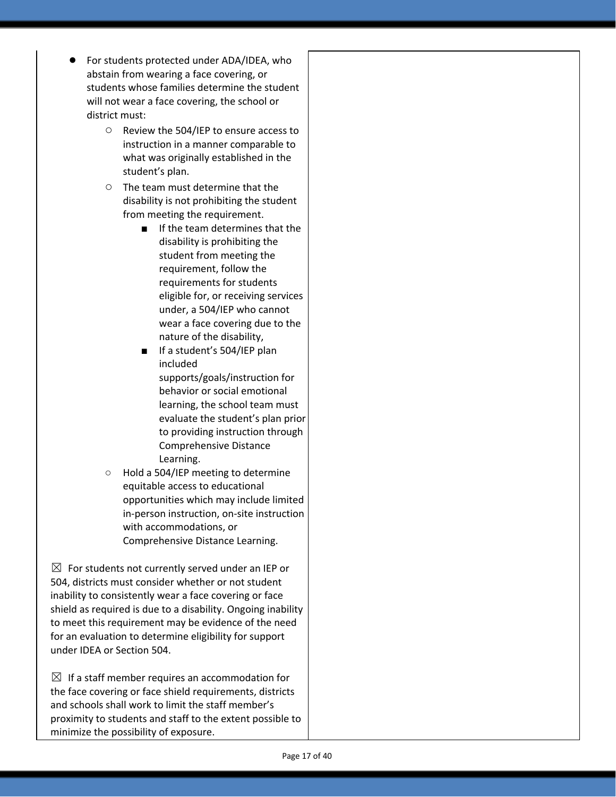- For students protected under ADA/IDEA, who abstain from wearing a face covering, or students whose families determine the student will not wear a face covering, the school or district must:
	- Review the 504/IEP to ensure access to instruction in a manner comparable to what was originally established in the student's plan.
	- The team must determine that the disability is not prohibiting the student from meeting the requirement.
		- If the team determines that the disability is prohibiting the student from meeting the requirement, follow the requirements for students eligible for, or receiving services under, a 504/IEP who cannot wear a face covering due to the nature of the disability,
		- If a student's 504/IEP plan included supports/goals/instruction for behavior or social emotional learning, the school team must evaluate the student's plan prior to providing instruction through Comprehensive Distance Learning.
	- Hold a 504/IEP meeting to determine equitable access to educational opportunities which may include limited in-person instruction, on-site instruction with accommodations, or Comprehensive Distance Learning.

 $\boxtimes$  For students not currently served under an IEP or 504, districts must consider whether or not student inability to consistently wear a face covering or face shield as required is due to a disability. Ongoing inability to meet this requirement may be evidence of the need for an evaluation to determine eligibility for support under IDEA or Section 504.

 $\boxtimes$  If a staff member requires an accommodation for the face covering or face shield requirements, districts and schools shall work to limit the staff member's proximity to students and staff to the extent possible to minimize the possibility of exposure.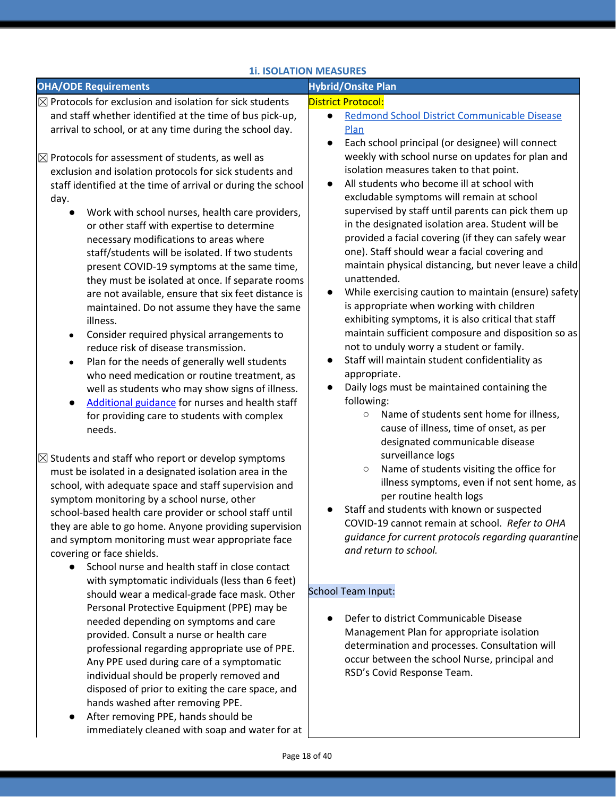### **1i. ISOLATION MEASURES**

| <b>OHA/ODE Requirements</b>                                                                                                                                                                                                                                                                                                                                                                                                                                                                                                                                                                                                                                                                                                                                                                                                                                                                                                                                                                               | <b>Hybrid/Onsite Plan</b>                                                                                                                                                                                                                                                                                                                                                                                                                                                                                                                                                                                                                                                                                                                                                                                                                                                                                                                                                                                                                                      |
|-----------------------------------------------------------------------------------------------------------------------------------------------------------------------------------------------------------------------------------------------------------------------------------------------------------------------------------------------------------------------------------------------------------------------------------------------------------------------------------------------------------------------------------------------------------------------------------------------------------------------------------------------------------------------------------------------------------------------------------------------------------------------------------------------------------------------------------------------------------------------------------------------------------------------------------------------------------------------------------------------------------|----------------------------------------------------------------------------------------------------------------------------------------------------------------------------------------------------------------------------------------------------------------------------------------------------------------------------------------------------------------------------------------------------------------------------------------------------------------------------------------------------------------------------------------------------------------------------------------------------------------------------------------------------------------------------------------------------------------------------------------------------------------------------------------------------------------------------------------------------------------------------------------------------------------------------------------------------------------------------------------------------------------------------------------------------------------|
| $\boxtimes$ Protocols for exclusion and isolation for sick students                                                                                                                                                                                                                                                                                                                                                                                                                                                                                                                                                                                                                                                                                                                                                                                                                                                                                                                                       | <b>District Protocol:</b>                                                                                                                                                                                                                                                                                                                                                                                                                                                                                                                                                                                                                                                                                                                                                                                                                                                                                                                                                                                                                                      |
| and staff whether identified at the time of bus pick-up,<br>arrival to school, or at any time during the school day.                                                                                                                                                                                                                                                                                                                                                                                                                                                                                                                                                                                                                                                                                                                                                                                                                                                                                      | Redmond School District Communicable Disease<br>$\bullet$<br>Plan<br>Each school principal (or designee) will connect<br>$\bullet$                                                                                                                                                                                                                                                                                                                                                                                                                                                                                                                                                                                                                                                                                                                                                                                                                                                                                                                             |
| $\boxtimes$ Protocols for assessment of students, as well as<br>exclusion and isolation protocols for sick students and<br>staff identified at the time of arrival or during the school<br>day.<br>Work with school nurses, health care providers,<br>or other staff with expertise to determine<br>necessary modifications to areas where<br>staff/students will be isolated. If two students<br>present COVID-19 symptoms at the same time,<br>they must be isolated at once. If separate rooms<br>are not available, ensure that six feet distance is<br>maintained. Do not assume they have the same<br>illness.<br>Consider required physical arrangements to<br>reduce risk of disease transmission.<br>Plan for the needs of generally well students<br>$\bullet$<br>who need medication or routine treatment, as<br>well as students who may show signs of illness.<br>Additional guidance for nurses and health staff<br>for providing care to students with complex<br>needs.                   | weekly with school nurse on updates for plan and<br>isolation measures taken to that point.<br>All students who become ill at school with<br>$\bullet$<br>excludable symptoms will remain at school<br>supervised by staff until parents can pick them up<br>in the designated isolation area. Student will be<br>provided a facial covering (if they can safely wear<br>one). Staff should wear a facial covering and<br>maintain physical distancing, but never leave a child<br>unattended.<br>While exercising caution to maintain (ensure) safety<br>$\bullet$<br>is appropriate when working with children<br>exhibiting symptoms, it is also critical that staff<br>maintain sufficient composure and disposition so as<br>not to unduly worry a student or family.<br>Staff will maintain student confidentiality as<br>$\bullet$<br>appropriate.<br>Daily logs must be maintained containing the<br>following:<br>Name of students sent home for illness,<br>$\bigcirc$<br>cause of illness, time of onset, as per<br>designated communicable disease |
| $\boxtimes$ Students and staff who report or develop symptoms<br>must be isolated in a designated isolation area in the<br>school, with adequate space and staff supervision and<br>symptom monitoring by a school nurse, other<br>school-based health care provider or school staff until<br>they are able to go home. Anyone providing supervision<br>and symptom monitoring must wear appropriate face<br>covering or face shields.<br>School nurse and health staff in close contact<br>with symptomatic individuals (less than 6 feet)<br>should wear a medical-grade face mask. Other<br>Personal Protective Equipment (PPE) may be<br>needed depending on symptoms and care<br>provided. Consult a nurse or health care<br>professional regarding appropriate use of PPE.<br>Any PPE used during care of a symptomatic<br>individual should be properly removed and<br>disposed of prior to exiting the care space, and<br>hands washed after removing PPE.<br>After removing PPE, hands should be | surveillance logs<br>Name of students visiting the office for<br>$\circ$<br>illness symptoms, even if not sent home, as<br>per routine health logs<br>Staff and students with known or suspected<br>COVID-19 cannot remain at school. Refer to OHA<br>guidance for current protocols regarding quarantine<br>and return to school.<br><b>School Team Input:</b><br>Defer to district Communicable Disease<br>Management Plan for appropriate isolation<br>determination and processes. Consultation will<br>occur between the school Nurse, principal and<br>RSD's Covid Response Team.                                                                                                                                                                                                                                                                                                                                                                                                                                                                        |

immediately cleaned with soap and water for at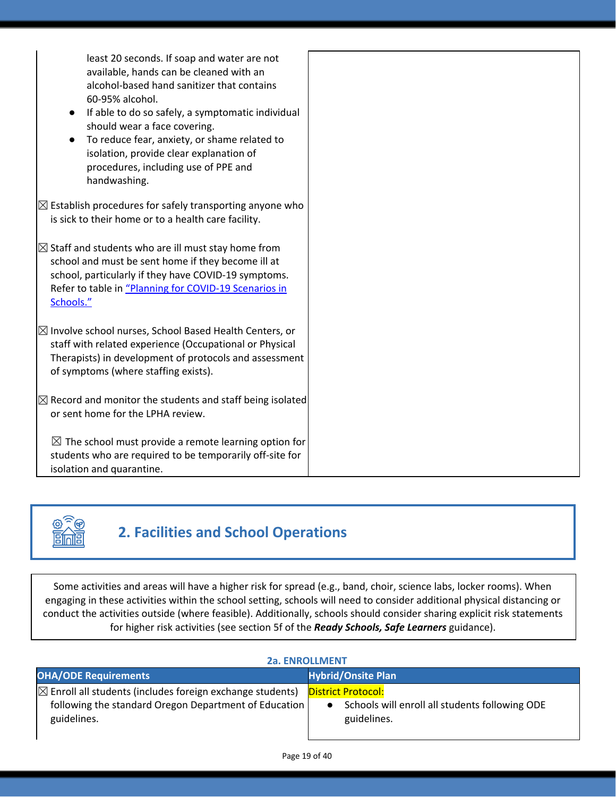| least 20 seconds. If soap and water are not<br>available, hands can be cleaned with an<br>alcohol-based hand sanitizer that contains<br>60-95% alcohol.<br>If able to do so safely, a symptomatic individual<br>$\bullet$<br>should wear a face covering.<br>To reduce fear, anxiety, or shame related to<br>isolation, provide clear explanation of<br>procedures, including use of PPE and<br>handwashing. |
|--------------------------------------------------------------------------------------------------------------------------------------------------------------------------------------------------------------------------------------------------------------------------------------------------------------------------------------------------------------------------------------------------------------|
| $\boxtimes$ Establish procedures for safely transporting anyone who<br>is sick to their home or to a health care facility.                                                                                                                                                                                                                                                                                   |
| $\boxtimes$ Staff and students who are ill must stay home from<br>school and must be sent home if they become ill at<br>school, particularly if they have COVID-19 symptoms.<br>Refer to table in "Planning for COVID-19 Scenarios in<br>Schools."                                                                                                                                                           |
| $\boxtimes$ Involve school nurses, School Based Health Centers, or<br>staff with related experience (Occupational or Physical<br>Therapists) in development of protocols and assessment<br>of symptoms (where staffing exists).                                                                                                                                                                              |
| $\boxtimes$ Record and monitor the students and staff being isolated<br>or sent home for the LPHA review.                                                                                                                                                                                                                                                                                                    |
| $\boxtimes$ The school must provide a remote learning option for<br>students who are required to be temporarily off-site for<br>isolation and quarantine.                                                                                                                                                                                                                                                    |



## **2. Facilities and School Operations**

Some activities and areas will have a higher risk for spread (e.g., band, choir, science labs, locker rooms). When engaging in these activities within the school setting, schools will need to consider additional physical distancing or conduct the activities outside (where feasible). Additionally, schools should consider sharing explicit risk statements for higher risk activities (see section 5f of the *Ready Schools, Safe Learners* guidance).

| <b>ZA. ENROLLIVIENT</b>                                                                                                                      |                                                                                            |  |
|----------------------------------------------------------------------------------------------------------------------------------------------|--------------------------------------------------------------------------------------------|--|
| <b>OHA/ODE Requirements</b>                                                                                                                  | <b>Hybrid/Onsite Plan</b>                                                                  |  |
| $\boxtimes$ Enroll all students (includes foreign exchange students)<br>following the standard Oregon Department of Education<br>guidelines. | <b>District Protocol:</b><br>Schools will enroll all students following ODE<br>guidelines. |  |

### **2a. ENROLLMENT**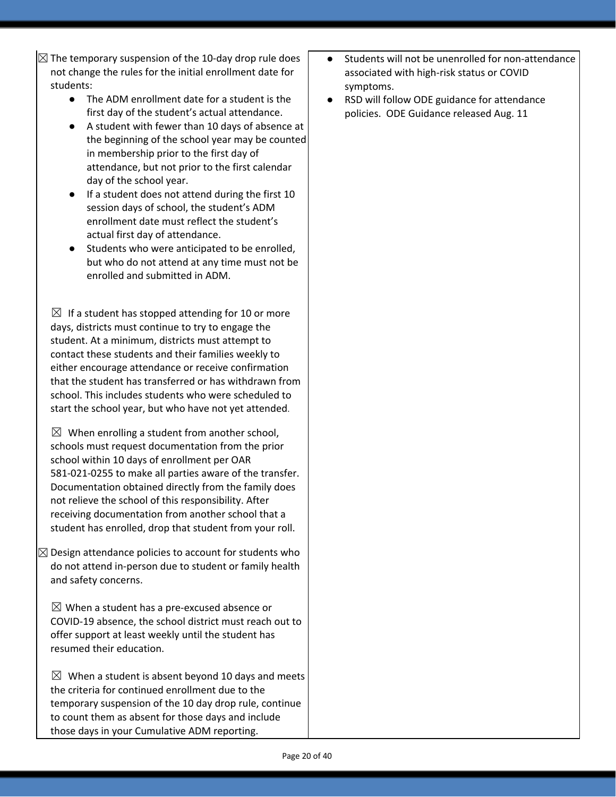$\boxtimes$  The temporary suspension of the 10-day drop rule does not change the rules for the initial enrollment date for students:

- The ADM enrollment date for a student is the first day of the student's actual attendance.
- A student with fewer than 10 days of absence at the beginning of the school year may be counted in membership prior to the first day of attendance, but not prior to the first calendar day of the school year.
- If a student does not attend during the first 10 session days of school, the student's ADM enrollment date must reflect the student's actual first day of attendance.
- Students who were anticipated to be enrolled, but who do not attend at any time must not be enrolled and submitted in ADM.

 $\boxtimes$  If a student has stopped attending for 10 or more days, districts must continue to try to engage the student. At a minimum, districts must attempt to contact these students and their families weekly to either encourage attendance or receive confirmation that the student has transferred or has withdrawn from school. This includes students who were scheduled to start the school year, but who have not yet attended.

 $\boxtimes$  When enrolling a student from another school, schools must request documentation from the prior school within 10 days of enrollment per OAR 581-021-0255 to make all parties aware of the transfer. Documentation obtained directly from the family does not relieve the school of this responsibility. After receiving documentation from another school that a student has enrolled, drop that student from your roll.

 $\boxtimes$  Design attendance policies to account for students who do not attend in-person due to student or family health and safety concerns.

 $\boxtimes$  When a student has a pre-excused absence or COVID-19 absence, the school district must reach out to offer support at least weekly until the student has resumed their education.

 $\boxtimes$  When a student is absent beyond 10 days and meets the criteria for continued enrollment due to the temporary suspension of the 10 day drop rule, continue to count them as absent for those days and include those days in your Cumulative ADM reporting.

- Students will not be unenrolled for non-attendance associated with high-risk status or COVID symptoms.
- RSD will follow ODE guidance for attendance policies. ODE Guidance released Aug. 11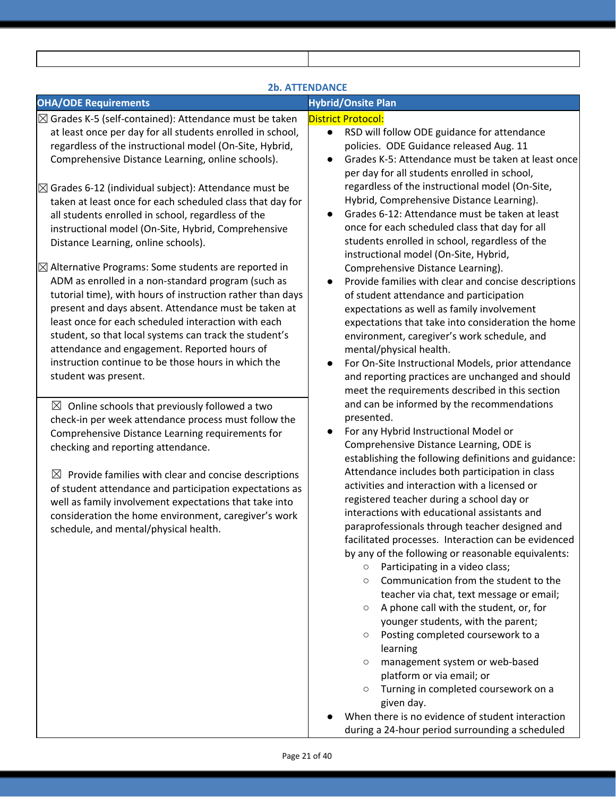| <b>2b. ATTENDANCE</b>                                                                                                                                                                                                                                                                                                                                                                                                                                                                                                                                                                                                                                                                                                                                                                                                                                                                                                                                                                                                                                                                                                                                                                                                                                                                                                                                                                                                                                                                                                                        |                                                                                                                                                                                                                                                                                                                                                                                                                                                                                                                                                                                                                                                                                                                                                                                                                                                                                                                                                                                                                                                                                                                                                                                                                                                                                                                                                                                                                                                                                                                                                                                                                                                                                                                                                                                                                                                                                                                                                                                                                                                                            |  |  |
|----------------------------------------------------------------------------------------------------------------------------------------------------------------------------------------------------------------------------------------------------------------------------------------------------------------------------------------------------------------------------------------------------------------------------------------------------------------------------------------------------------------------------------------------------------------------------------------------------------------------------------------------------------------------------------------------------------------------------------------------------------------------------------------------------------------------------------------------------------------------------------------------------------------------------------------------------------------------------------------------------------------------------------------------------------------------------------------------------------------------------------------------------------------------------------------------------------------------------------------------------------------------------------------------------------------------------------------------------------------------------------------------------------------------------------------------------------------------------------------------------------------------------------------------|----------------------------------------------------------------------------------------------------------------------------------------------------------------------------------------------------------------------------------------------------------------------------------------------------------------------------------------------------------------------------------------------------------------------------------------------------------------------------------------------------------------------------------------------------------------------------------------------------------------------------------------------------------------------------------------------------------------------------------------------------------------------------------------------------------------------------------------------------------------------------------------------------------------------------------------------------------------------------------------------------------------------------------------------------------------------------------------------------------------------------------------------------------------------------------------------------------------------------------------------------------------------------------------------------------------------------------------------------------------------------------------------------------------------------------------------------------------------------------------------------------------------------------------------------------------------------------------------------------------------------------------------------------------------------------------------------------------------------------------------------------------------------------------------------------------------------------------------------------------------------------------------------------------------------------------------------------------------------------------------------------------------------------------------------------------------------|--|--|
| <b>OHA/ODE Requirements</b>                                                                                                                                                                                                                                                                                                                                                                                                                                                                                                                                                                                                                                                                                                                                                                                                                                                                                                                                                                                                                                                                                                                                                                                                                                                                                                                                                                                                                                                                                                                  | <b>Hybrid/Onsite Plan</b>                                                                                                                                                                                                                                                                                                                                                                                                                                                                                                                                                                                                                                                                                                                                                                                                                                                                                                                                                                                                                                                                                                                                                                                                                                                                                                                                                                                                                                                                                                                                                                                                                                                                                                                                                                                                                                                                                                                                                                                                                                                  |  |  |
| $\boxtimes$ Grades K-5 (self-contained): Attendance must be taken<br>at least once per day for all students enrolled in school,<br>regardless of the instructional model (On-Site, Hybrid,<br>Comprehensive Distance Learning, online schools).<br>$\boxtimes$ Grades 6-12 (individual subject): Attendance must be<br>taken at least once for each scheduled class that day for<br>all students enrolled in school, regardless of the<br>instructional model (On-Site, Hybrid, Comprehensive<br>Distance Learning, online schools).<br>$\boxtimes$ Alternative Programs: Some students are reported in<br>ADM as enrolled in a non-standard program (such as<br>tutorial time), with hours of instruction rather than days<br>present and days absent. Attendance must be taken at<br>least once for each scheduled interaction with each<br>student, so that local systems can track the student's<br>attendance and engagement. Reported hours of<br>instruction continue to be those hours in which the<br>student was present.<br>$\boxtimes$ Online schools that previously followed a two<br>check-in per week attendance process must follow the<br>Comprehensive Distance Learning requirements for<br>checking and reporting attendance.<br>$\boxtimes$ Provide families with clear and concise descriptions<br>of student attendance and participation expectations as<br>well as family involvement expectations that take into<br>consideration the home environment, caregiver's work<br>schedule, and mental/physical health. | <b>District Protocol:</b><br>RSD will follow ODE guidance for attendance<br>$\bullet$<br>policies. ODE Guidance released Aug. 11<br>Grades K-5: Attendance must be taken at least once<br>$\bullet$<br>per day for all students enrolled in school,<br>regardless of the instructional model (On-Site,<br>Hybrid, Comprehensive Distance Learning).<br>Grades 6-12: Attendance must be taken at least<br>once for each scheduled class that day for all<br>students enrolled in school, regardless of the<br>instructional model (On-Site, Hybrid,<br>Comprehensive Distance Learning).<br>Provide families with clear and concise descriptions<br>of student attendance and participation<br>expectations as well as family involvement<br>expectations that take into consideration the home<br>environment, caregiver's work schedule, and<br>mental/physical health.<br>For On-Site Instructional Models, prior attendance<br>$\bullet$<br>and reporting practices are unchanged and should<br>meet the requirements described in this section<br>and can be informed by the recommendations<br>presented.<br>For any Hybrid Instructional Model or<br>Comprehensive Distance Learning, ODE is<br>establishing the following definitions and guidance:<br>Attendance includes both participation in class<br>activities and interaction with a licensed or<br>registered teacher during a school day or<br>interactions with educational assistants and<br>paraprofessionals through teacher designed and<br>facilitated processes. Interaction can be evidenced<br>by any of the following or reasonable equivalents:<br>Participating in a video class;<br>$\circ$<br>Communication from the student to the<br>$\circ$<br>teacher via chat, text message or email;<br>A phone call with the student, or, for<br>$\circ$<br>younger students, with the parent;<br>Posting completed coursework to a<br>$\circ$<br>learning<br>management system or web-based<br>$\circ$<br>platform or via email; or<br>Turning in completed coursework on a<br>$\circ$<br>given day. |  |  |

● When there is no evidence of student interaction during a 24-hour period surrounding a scheduled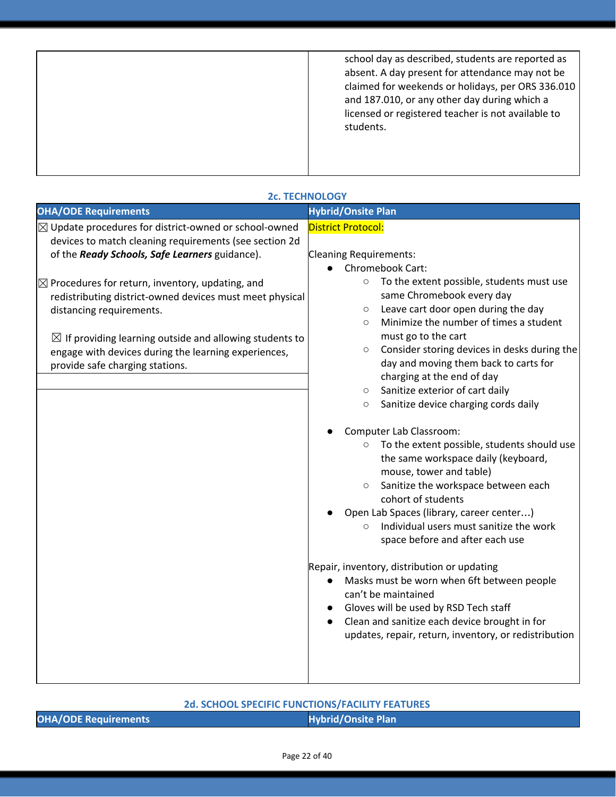| school day as described, students are reported as<br>absent. A day present for attendance may not be<br>claimed for weekends or holidays, per ORS 336.010<br>and 187.010, or any other day during which a<br>licensed or registered teacher is not available to<br>students. |  |
|------------------------------------------------------------------------------------------------------------------------------------------------------------------------------------------------------------------------------------------------------------------------------|--|
|                                                                                                                                                                                                                                                                              |  |

| <b>2c. TECHNOLOGY</b>                                                                                                                                                                                                                                                                                                                                                                                                                                                                                |                                                                                                                                                                                                                                                                                                                                                                                                                                                                                                                                                                                                                                                                                                                                                                                                                                                                                                                                                                                                                                                                                                                                                                                |  |  |
|------------------------------------------------------------------------------------------------------------------------------------------------------------------------------------------------------------------------------------------------------------------------------------------------------------------------------------------------------------------------------------------------------------------------------------------------------------------------------------------------------|--------------------------------------------------------------------------------------------------------------------------------------------------------------------------------------------------------------------------------------------------------------------------------------------------------------------------------------------------------------------------------------------------------------------------------------------------------------------------------------------------------------------------------------------------------------------------------------------------------------------------------------------------------------------------------------------------------------------------------------------------------------------------------------------------------------------------------------------------------------------------------------------------------------------------------------------------------------------------------------------------------------------------------------------------------------------------------------------------------------------------------------------------------------------------------|--|--|
| <b>OHA/ODE Requirements</b>                                                                                                                                                                                                                                                                                                                                                                                                                                                                          | <b>Hybrid/Onsite Plan</b>                                                                                                                                                                                                                                                                                                                                                                                                                                                                                                                                                                                                                                                                                                                                                                                                                                                                                                                                                                                                                                                                                                                                                      |  |  |
| $\boxtimes$ Update procedures for district-owned or school-owned<br>devices to match cleaning requirements (see section 2d<br>of the Ready Schools, Safe Learners guidance).<br>$\boxtimes$ Procedures for return, inventory, updating, and<br>redistributing district-owned devices must meet physical<br>distancing requirements.<br>$\boxtimes$ If providing learning outside and allowing students to<br>engage with devices during the learning experiences,<br>provide safe charging stations. | District Protocol:<br><b>Cleaning Requirements:</b><br>Chromebook Cart:<br>To the extent possible, students must use<br>$\circ$<br>same Chromebook every day<br>Leave cart door open during the day<br>$\circ$<br>Minimize the number of times a student<br>$\circ$<br>must go to the cart<br>Consider storing devices in desks during the<br>$\circ$<br>day and moving them back to carts for<br>charging at the end of day<br>Sanitize exterior of cart daily<br>$\circ$<br>Sanitize device charging cords daily<br>$\circ$<br>Computer Lab Classroom:<br>o To the extent possible, students should use<br>the same workspace daily (keyboard,<br>mouse, tower and table)<br>Sanitize the workspace between each<br>$\circ$<br>cohort of students<br>Open Lab Spaces (library, career center)<br>Individual users must sanitize the work<br>space before and after each use<br>Repair, inventory, distribution or updating<br>Masks must be worn when 6ft between people<br>$\bullet$<br>can't be maintained<br>Gloves will be used by RSD Tech staff<br>Clean and sanitize each device brought in for<br>$\bullet$<br>updates, repair, return, inventory, or redistribution |  |  |
|                                                                                                                                                                                                                                                                                                                                                                                                                                                                                                      |                                                                                                                                                                                                                                                                                                                                                                                                                                                                                                                                                                                                                                                                                                                                                                                                                                                                                                                                                                                                                                                                                                                                                                                |  |  |

### **2d. SCHOOL SPECIFIC FUNCTIONS/FACILITY FEATURES**

|  | <b>OHA/ODE Requirements</b> |
|--|-----------------------------|
|--|-----------------------------|

**Hybrid/Onsite Plan**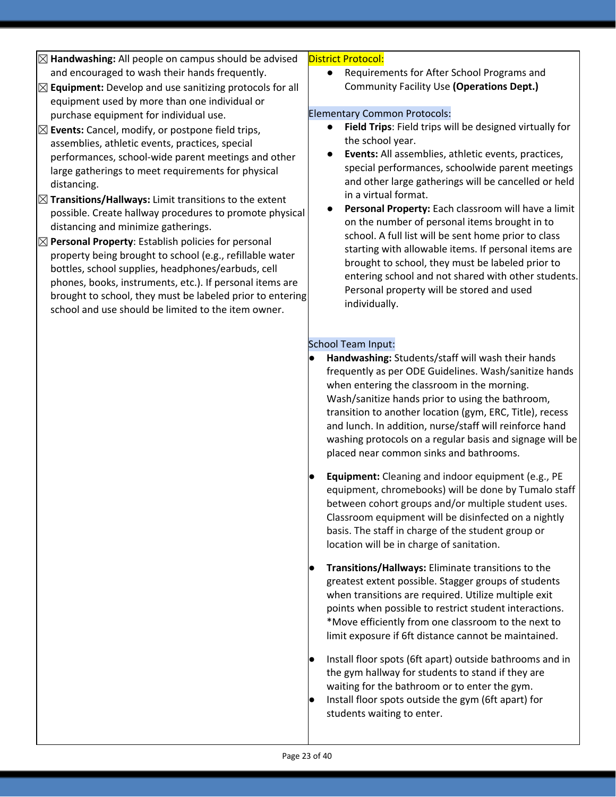- ☒**Handwashing:** All people on campus should be advised and encouraged to wash their hands frequently.
- ☒**Equipment:** Develop and use sanitizing protocols for all equipment used by more than one individual or purchase equipment for individual use.
- ☒**Events:** Cancel, modify, or postpone field trips, assemblies, athletic events, practices, special performances, school-wide parent meetings and other large gatherings to meet requirements for physical distancing.
- ☒**Transitions/Hallways:** Limit transitions to the extent possible. Create hallway procedures to promote physical distancing and minimize gatherings.
- ☒**Personal Property**: Establish policies for personal property being brought to school (e.g., refillable water bottles, school supplies, headphones/earbuds, cell phones, books, instruments, etc.). If personal items are brought to school, they must be labeled prior to entering school and use should be limited to the item owner.

#### District Protocol:

Requirements for After School Programs and Community Facility Use **(Operations Dept.)**

### Elementary Common Protocols:

- **Field Trips: Field trips will be designed virtually for** the school year.
- **Events:** All assemblies, athletic events, practices, special performances, schoolwide parent meetings and other large gatherings will be cancelled or held in a virtual format.
- Personal Property: Each classroom will have a limit on the number of personal items brought in to school. A full list will be sent home prior to class starting with allowable items. If personal items are brought to school, they must be labeled prior to entering school and not shared with other students. Personal property will be stored and used individually.

### School Team Input:

- **Handwashing:** Students/staff will wash their hands frequently as per ODE Guidelines. Wash/sanitize hands when entering the classroom in the morning. Wash/sanitize hands prior to using the bathroom, transition to another location (gym, ERC, Title), recess and lunch. In addition, nurse/staff will reinforce hand washing protocols on a regular basis and signage will be placed near common sinks and bathrooms.
- **Equipment:** Cleaning and indoor equipment (e.g., PE equipment, chromebooks) will be done by Tumalo staff between cohort groups and/or multiple student uses. Classroom equipment will be disinfected on a nightly basis. The staff in charge of the student group or location will be in charge of sanitation.
- **Transitions/Hallways:** Eliminate transitions to the greatest extent possible. Stagger groups of students when transitions are required. Utilize multiple exit points when possible to restrict student interactions. \*Move efficiently from one classroom to the next to limit exposure if 6ft distance cannot be maintained.
- Install floor spots (6ft apart) outside bathrooms and in the gym hallway for students to stand if they are waiting for the bathroom or to enter the gym.
- Install floor spots outside the gym (6ft apart) for students waiting to enter.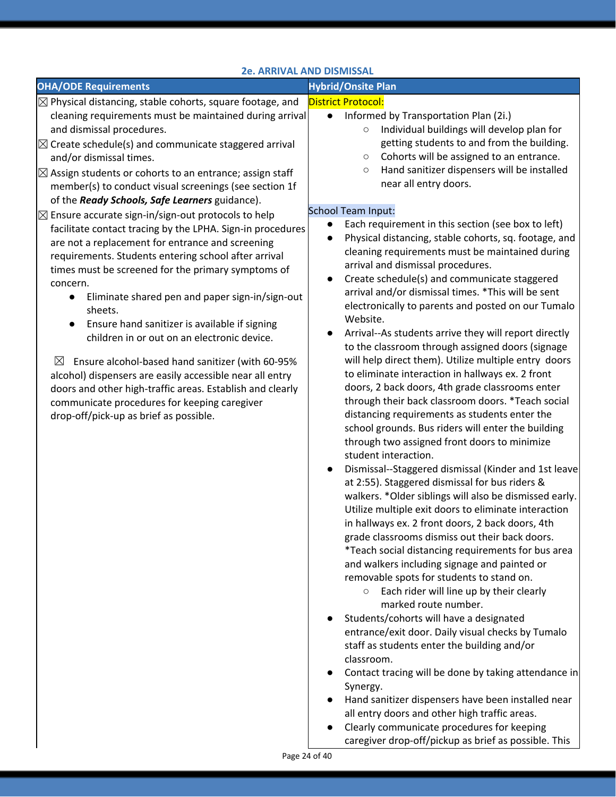### **2e. ARRIVAL AND DISMISSAL**

| <b>OHA/ODE Requirements</b><br>$\boxtimes$ Physical distancing, stable cohorts, square footage, and<br>cleaning requirements must be maintained during arrival<br>$\bullet$                                                                                                                                                                                                                                                                                                                                                                                                                                                                                                                                            | <b>Hybrid/Onsite Plan</b><br><b>District Protocol:</b><br>Informed by Transportation Plan (2i.)                                                                                                                                                                                                                                                                                                                                                                                                                                                                                                                                                                                                                                                                                                                                                                                                                                                                                                                                                                                                                                                                                                                                                                                                                                                                                                                                                                                                                                                                                                                                                                                                                                                                                                                                                        |
|------------------------------------------------------------------------------------------------------------------------------------------------------------------------------------------------------------------------------------------------------------------------------------------------------------------------------------------------------------------------------------------------------------------------------------------------------------------------------------------------------------------------------------------------------------------------------------------------------------------------------------------------------------------------------------------------------------------------|--------------------------------------------------------------------------------------------------------------------------------------------------------------------------------------------------------------------------------------------------------------------------------------------------------------------------------------------------------------------------------------------------------------------------------------------------------------------------------------------------------------------------------------------------------------------------------------------------------------------------------------------------------------------------------------------------------------------------------------------------------------------------------------------------------------------------------------------------------------------------------------------------------------------------------------------------------------------------------------------------------------------------------------------------------------------------------------------------------------------------------------------------------------------------------------------------------------------------------------------------------------------------------------------------------------------------------------------------------------------------------------------------------------------------------------------------------------------------------------------------------------------------------------------------------------------------------------------------------------------------------------------------------------------------------------------------------------------------------------------------------------------------------------------------------------------------------------------------------|
|                                                                                                                                                                                                                                                                                                                                                                                                                                                                                                                                                                                                                                                                                                                        |                                                                                                                                                                                                                                                                                                                                                                                                                                                                                                                                                                                                                                                                                                                                                                                                                                                                                                                                                                                                                                                                                                                                                                                                                                                                                                                                                                                                                                                                                                                                                                                                                                                                                                                                                                                                                                                        |
| and dismissal procedures.<br>$\boxtimes$ Create schedule(s) and communicate staggered arrival<br>and/or dismissal times.<br>$\boxtimes$ Assign students or cohorts to an entrance; assign staff<br>member(s) to conduct visual screenings (see section 1f<br>of the Ready Schools, Safe Learners guidance).<br>$\boxtimes$ Ensure accurate sign-in/sign-out protocols to help                                                                                                                                                                                                                                                                                                                                          | Individual buildings will develop plan for<br>$\bigcirc$<br>getting students to and from the building.<br>Cohorts will be assigned to an entrance.<br>$\circ$<br>Hand sanitizer dispensers will be installed<br>$\circ$<br>near all entry doors.<br>School Team Input:                                                                                                                                                                                                                                                                                                                                                                                                                                                                                                                                                                                                                                                                                                                                                                                                                                                                                                                                                                                                                                                                                                                                                                                                                                                                                                                                                                                                                                                                                                                                                                                 |
| $\bullet$<br>facilitate contact tracing by the LPHA. Sign-in procedures<br>are not a replacement for entrance and screening<br>requirements. Students entering school after arrival<br>times must be screened for the primary symptoms of<br>concern.<br>Eliminate shared pen and paper sign-in/sign-out<br>$\bullet$<br>sheets.<br>Ensure hand sanitizer is available if signing<br>children in or out on an electronic device.<br>$\boxtimes$<br>Ensure alcohol-based hand sanitizer (with 60-95%<br>alcohol) dispensers are easily accessible near all entry<br>doors and other high-traffic areas. Establish and clearly<br>communicate procedures for keeping caregiver<br>drop-off/pick-up as brief as possible. | Each requirement in this section (see box to left)<br>Physical distancing, stable cohorts, sq. footage, and<br>cleaning requirements must be maintained during<br>arrival and dismissal procedures.<br>Create schedule(s) and communicate staggered<br>arrival and/or dismissal times. *This will be sent<br>electronically to parents and posted on our Tumalo<br>Website.<br>Arrival--As students arrive they will report directly<br>to the classroom through assigned doors (signage<br>will help direct them). Utilize multiple entry doors<br>to eliminate interaction in hallways ex. 2 front<br>doors, 2 back doors, 4th grade classrooms enter<br>through their back classroom doors. *Teach social<br>distancing requirements as students enter the<br>school grounds. Bus riders will enter the building<br>through two assigned front doors to minimize<br>student interaction.<br>Dismissal--Staggered dismissal (Kinder and 1st leave<br>at 2:55). Staggered dismissal for bus riders &<br>walkers. * Older siblings will also be dismissed early.<br>Utilize multiple exit doors to eliminate interaction<br>in hallways ex. 2 front doors, 2 back doors, 4th<br>grade classrooms dismiss out their back doors.<br>*Teach social distancing requirements for bus area<br>and walkers including signage and painted or<br>removable spots for students to stand on.<br>Each rider will line up by their clearly<br>$\circ$<br>marked route number.<br>Students/cohorts will have a designated<br>entrance/exit door. Daily visual checks by Tumalo<br>staff as students enter the building and/or<br>classroom.<br>Contact tracing will be done by taking attendance in<br>Synergy.<br>Hand sanitizer dispensers have been installed near<br>all entry doors and other high traffic areas.<br>Clearly communicate procedures for keeping |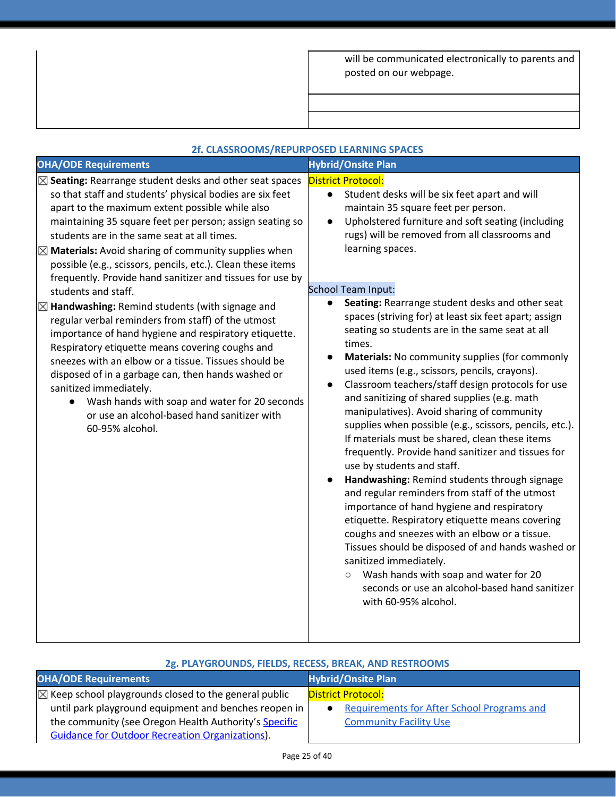| will be communicated electronically to parents and |  |
|----------------------------------------------------|--|
| posted on our webpage.                             |  |

|                                                                                                                                                                                                                                                                                                                                                                                                                                                                                                                                                                                                                                                                                                                                                                                                                                                                                                                                                                                                                 | 2f. CLASSROOMS/REPURPOSED LEARNING SPACES                                                                                                                                                                                                                                                                                                                                                                                                                                                                                                                                                                                                                                                                                                                                                                                                                                                                                                                                                                                                                                                                                                                                                                                                                                                                                                                                                                                                   |  |
|-----------------------------------------------------------------------------------------------------------------------------------------------------------------------------------------------------------------------------------------------------------------------------------------------------------------------------------------------------------------------------------------------------------------------------------------------------------------------------------------------------------------------------------------------------------------------------------------------------------------------------------------------------------------------------------------------------------------------------------------------------------------------------------------------------------------------------------------------------------------------------------------------------------------------------------------------------------------------------------------------------------------|---------------------------------------------------------------------------------------------------------------------------------------------------------------------------------------------------------------------------------------------------------------------------------------------------------------------------------------------------------------------------------------------------------------------------------------------------------------------------------------------------------------------------------------------------------------------------------------------------------------------------------------------------------------------------------------------------------------------------------------------------------------------------------------------------------------------------------------------------------------------------------------------------------------------------------------------------------------------------------------------------------------------------------------------------------------------------------------------------------------------------------------------------------------------------------------------------------------------------------------------------------------------------------------------------------------------------------------------------------------------------------------------------------------------------------------------|--|
| <b>OHA/ODE Requirements</b>                                                                                                                                                                                                                                                                                                                                                                                                                                                                                                                                                                                                                                                                                                                                                                                                                                                                                                                                                                                     | <b>Hybrid/Onsite Plan</b>                                                                                                                                                                                                                                                                                                                                                                                                                                                                                                                                                                                                                                                                                                                                                                                                                                                                                                                                                                                                                                                                                                                                                                                                                                                                                                                                                                                                                   |  |
| $\boxtimes$ Seating: Rearrange student desks and other seat spaces<br>so that staff and students' physical bodies are six feet<br>apart to the maximum extent possible while also<br>maintaining 35 square feet per person; assign seating so<br>students are in the same seat at all times.<br>$\boxtimes$ Materials: Avoid sharing of community supplies when<br>possible (e.g., scissors, pencils, etc.). Clean these items<br>frequently. Provide hand sanitizer and tissues for use by<br>students and staff.<br>$\boxtimes$ Handwashing: Remind students (with signage and<br>regular verbal reminders from staff) of the utmost<br>importance of hand hygiene and respiratory etiquette.<br>Respiratory etiquette means covering coughs and<br>sneezes with an elbow or a tissue. Tissues should be<br>disposed of in a garbage can, then hands washed or<br>sanitized immediately.<br>• Wash hands with soap and water for 20 seconds<br>or use an alcohol-based hand sanitizer with<br>60-95% alcohol. | <b>District Protocol:</b><br>Student desks will be six feet apart and will<br>$\bullet$<br>maintain 35 square feet per person.<br>Upholstered furniture and soft seating (including<br>$\bullet$<br>rugs) will be removed from all classrooms and<br>learning spaces.<br><b>School Team Input:</b><br>Seating: Rearrange student desks and other seat<br>$\bullet$<br>spaces (striving for) at least six feet apart; assign<br>seating so students are in the same seat at all<br>times.<br>Materials: No community supplies (for commonly<br>$\bullet$<br>used items (e.g., scissors, pencils, crayons).<br>Classroom teachers/staff design protocols for use<br>$\bullet$<br>and sanitizing of shared supplies (e.g. math<br>manipulatives). Avoid sharing of community<br>supplies when possible (e.g., scissors, pencils, etc.).<br>If materials must be shared, clean these items<br>frequently. Provide hand sanitizer and tissues for<br>use by students and staff.<br>Handwashing: Remind students through signage<br>and regular reminders from staff of the utmost<br>importance of hand hygiene and respiratory<br>etiquette. Respiratory etiquette means covering<br>coughs and sneezes with an elbow or a tissue.<br>Tissues should be disposed of and hands washed or<br>sanitized immediately.<br>Wash hands with soap and water for 20<br>$\circ$<br>seconds or use an alcohol-based hand sanitizer<br>with 60-95% alcohol. |  |

### **2g. PLAYGROUNDS, FIELDS, RECESS, BREAK, AND RESTROOMS**

| <b>OHA/ODE Requirements</b>                                      | <b>Hybrid/Onsite Plan</b>                         |
|------------------------------------------------------------------|---------------------------------------------------|
| $\boxtimes$ Keep school playgrounds closed to the general public | <b>District Protocol:</b>                         |
| until park playground equipment and benches reopen in            | <b>Requirements for After School Programs and</b> |
| the community (see Oregon Health Authority's Specific            | <b>Community Facility Use</b>                     |
| <b>Guidance for Outdoor Recreation Organizations).</b>           |                                                   |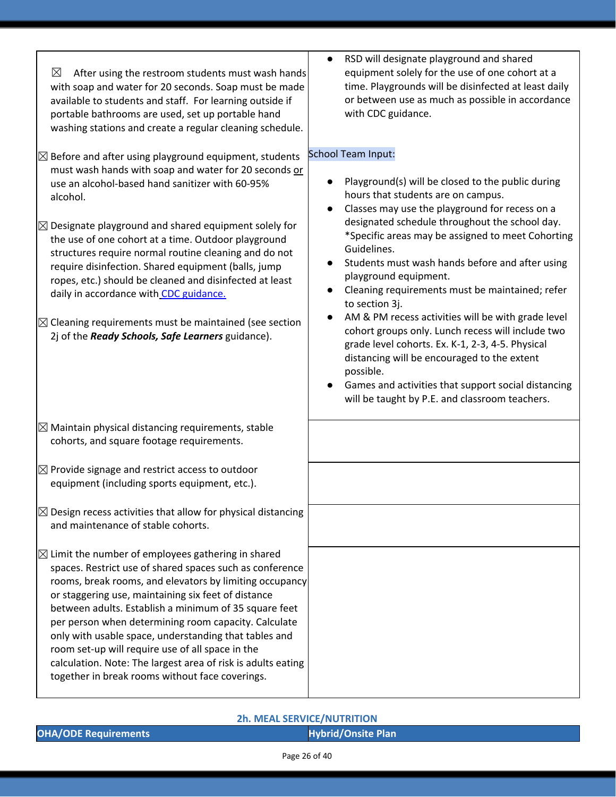| $\boxtimes$<br>After using the restroom students must wash hands<br>with soap and water for 20 seconds. Soap must be made<br>available to students and staff. For learning outside if<br>portable bathrooms are used, set up portable hand<br>washing stations and create a regular cleaning schedule.                                                                                                                                                                                                                                                                                                                                                              | RSD will designate playground and shared<br>equipment solely for the use of one cohort at a<br>time. Playgrounds will be disinfected at least daily<br>or between use as much as possible in accordance<br>with CDC guidance.                                                                                                                                                                                                                                                                                                                                                                                                                                                                                                                                                                                                  |  |  |
|---------------------------------------------------------------------------------------------------------------------------------------------------------------------------------------------------------------------------------------------------------------------------------------------------------------------------------------------------------------------------------------------------------------------------------------------------------------------------------------------------------------------------------------------------------------------------------------------------------------------------------------------------------------------|--------------------------------------------------------------------------------------------------------------------------------------------------------------------------------------------------------------------------------------------------------------------------------------------------------------------------------------------------------------------------------------------------------------------------------------------------------------------------------------------------------------------------------------------------------------------------------------------------------------------------------------------------------------------------------------------------------------------------------------------------------------------------------------------------------------------------------|--|--|
| $\boxtimes$ Before and after using playground equipment, students<br>must wash hands with soap and water for 20 seconds or<br>use an alcohol-based hand sanitizer with 60-95%<br>alcohol.<br>$\boxtimes$ Designate playground and shared equipment solely for<br>the use of one cohort at a time. Outdoor playground<br>structures require normal routine cleaning and do not<br>require disinfection. Shared equipment (balls, jump<br>ropes, etc.) should be cleaned and disinfected at least<br>daily in accordance with CDC guidance.<br>$\boxtimes$ Cleaning requirements must be maintained (see section<br>2j of the Ready Schools, Safe Learners guidance). | School Team Input:<br>Playground(s) will be closed to the public during<br>hours that students are on campus.<br>Classes may use the playground for recess on a<br>$\bullet$<br>designated schedule throughout the school day.<br>*Specific areas may be assigned to meet Cohorting<br>Guidelines.<br>Students must wash hands before and after using<br>$\bullet$<br>playground equipment.<br>Cleaning requirements must be maintained; refer<br>$\bullet$<br>to section 3j.<br>AM & PM recess activities will be with grade level<br>$\bullet$<br>cohort groups only. Lunch recess will include two<br>grade level cohorts. Ex. K-1, 2-3, 4-5. Physical<br>distancing will be encouraged to the extent<br>possible.<br>Games and activities that support social distancing<br>will be taught by P.E. and classroom teachers. |  |  |
| $\boxtimes$ Maintain physical distancing requirements, stable<br>cohorts, and square footage requirements.                                                                                                                                                                                                                                                                                                                                                                                                                                                                                                                                                          |                                                                                                                                                                                                                                                                                                                                                                                                                                                                                                                                                                                                                                                                                                                                                                                                                                |  |  |
| $\boxtimes$ Provide signage and restrict access to outdoor<br>equipment (including sports equipment, etc.).                                                                                                                                                                                                                                                                                                                                                                                                                                                                                                                                                         |                                                                                                                                                                                                                                                                                                                                                                                                                                                                                                                                                                                                                                                                                                                                                                                                                                |  |  |
| $\boxtimes$ Design recess activities that allow for physical distancing<br>and maintenance of stable cohorts.                                                                                                                                                                                                                                                                                                                                                                                                                                                                                                                                                       |                                                                                                                                                                                                                                                                                                                                                                                                                                                                                                                                                                                                                                                                                                                                                                                                                                |  |  |
| $\boxtimes$ Limit the number of employees gathering in shared<br>spaces. Restrict use of shared spaces such as conference<br>rooms, break rooms, and elevators by limiting occupancy<br>or staggering use, maintaining six feet of distance<br>between adults. Establish a minimum of 35 square feet<br>per person when determining room capacity. Calculate<br>only with usable space, understanding that tables and<br>room set-up will require use of all space in the<br>calculation. Note: The largest area of risk is adults eating<br>together in break rooms without face coverings.                                                                        |                                                                                                                                                                                                                                                                                                                                                                                                                                                                                                                                                                                                                                                                                                                                                                                                                                |  |  |

### **2h. MEAL SERVICE/NUTRITION**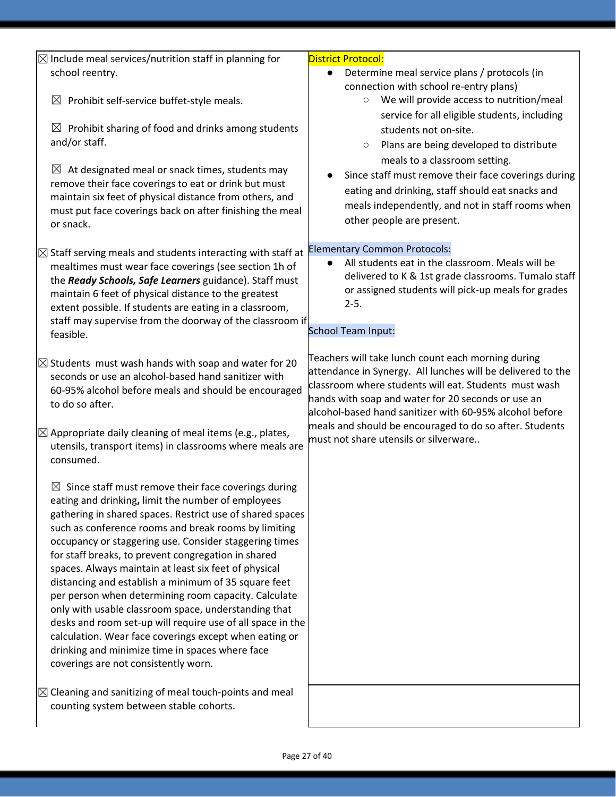| $\boxtimes$ Include meal services/nutrition staff in planning for                                                   | <b>District Protocol:</b>                                                                                     |  |  |
|---------------------------------------------------------------------------------------------------------------------|---------------------------------------------------------------------------------------------------------------|--|--|
| school reentry.                                                                                                     | Determine meal service plans / protocols (in<br>$\bullet$                                                     |  |  |
|                                                                                                                     | connection with school re-entry plans)                                                                        |  |  |
| Prohibit self-service buffet-style meals.<br>$\boxtimes$                                                            | We will provide access to nutrition/meal<br>$\circ$                                                           |  |  |
|                                                                                                                     | service for all eligible students, including                                                                  |  |  |
| Prohibit sharing of food and drinks among students<br>$\boxtimes$                                                   | students not on-site.                                                                                         |  |  |
| and/or staff.                                                                                                       | Plans are being developed to distribute<br>$\circ$                                                            |  |  |
|                                                                                                                     | meals to a classroom setting.                                                                                 |  |  |
| $\boxtimes$ At designated meal or snack times, students may<br>remove their face coverings to eat or drink but must | Since staff must remove their face coverings during                                                           |  |  |
| maintain six feet of physical distance from others, and                                                             | eating and drinking, staff should eat snacks and                                                              |  |  |
| must put face coverings back on after finishing the meal                                                            | meals independently, and not in staff rooms when                                                              |  |  |
| or snack.                                                                                                           | other people are present.                                                                                     |  |  |
|                                                                                                                     |                                                                                                               |  |  |
| $\boxtimes$ Staff serving meals and students interacting with staff at                                              | <b>Elementary Common Protocols:</b>                                                                           |  |  |
| mealtimes must wear face coverings (see section 1h of                                                               | All students eat in the classroom. Meals will be                                                              |  |  |
| the Ready Schools, Safe Learners guidance). Staff must                                                              | delivered to K & 1st grade classrooms. Tumalo staff<br>or assigned students will pick-up meals for grades     |  |  |
| maintain 6 feet of physical distance to the greatest                                                                | $2 - 5.$                                                                                                      |  |  |
| extent possible. If students are eating in a classroom,<br>staff may supervise from the doorway of the classroom if |                                                                                                               |  |  |
| feasible.                                                                                                           | School Team Input:                                                                                            |  |  |
|                                                                                                                     |                                                                                                               |  |  |
| $\boxtimes$ Students must wash hands with soap and water for 20                                                     | Teachers will take lunch count each morning during                                                            |  |  |
| seconds or use an alcohol-based hand sanitizer with                                                                 | attendance in Synergy. All lunches will be delivered to the                                                   |  |  |
| 60-95% alcohol before meals and should be encouraged                                                                | classroom where students will eat. Students must wash                                                         |  |  |
| to do so after.                                                                                                     | hands with soap and water for 20 seconds or use an<br>alcohol-based hand sanitizer with 60-95% alcohol before |  |  |
|                                                                                                                     | meals and should be encouraged to do so after. Students                                                       |  |  |
| $\boxtimes$ Appropriate daily cleaning of meal items (e.g., plates,                                                 | must not share utensils or silverware                                                                         |  |  |
| utensils, transport items) in classrooms where meals are<br>consumed.                                               |                                                                                                               |  |  |
|                                                                                                                     |                                                                                                               |  |  |
| $\boxtimes$ Since staff must remove their face coverings during                                                     |                                                                                                               |  |  |
| eating and drinking, limit the number of employees                                                                  |                                                                                                               |  |  |
| gathering in shared spaces. Restrict use of shared spaces                                                           |                                                                                                               |  |  |
| such as conference rooms and break rooms by limiting                                                                |                                                                                                               |  |  |
| occupancy or staggering use. Consider staggering times                                                              |                                                                                                               |  |  |
| for staff breaks, to prevent congregation in shared                                                                 |                                                                                                               |  |  |
| spaces. Always maintain at least six feet of physical<br>distancing and establish a minimum of 35 square feet       |                                                                                                               |  |  |
| per person when determining room capacity. Calculate                                                                |                                                                                                               |  |  |
| only with usable classroom space, understanding that                                                                |                                                                                                               |  |  |
| desks and room set-up will require use of all space in the                                                          |                                                                                                               |  |  |
| calculation. Wear face coverings except when eating or                                                              |                                                                                                               |  |  |
| drinking and minimize time in spaces where face                                                                     |                                                                                                               |  |  |
| coverings are not consistently worn.                                                                                |                                                                                                               |  |  |
|                                                                                                                     |                                                                                                               |  |  |
| $\boxtimes$ Cleaning and sanitizing of meal touch-points and meal<br>counting system between stable cohorts.        |                                                                                                               |  |  |
|                                                                                                                     |                                                                                                               |  |  |
|                                                                                                                     |                                                                                                               |  |  |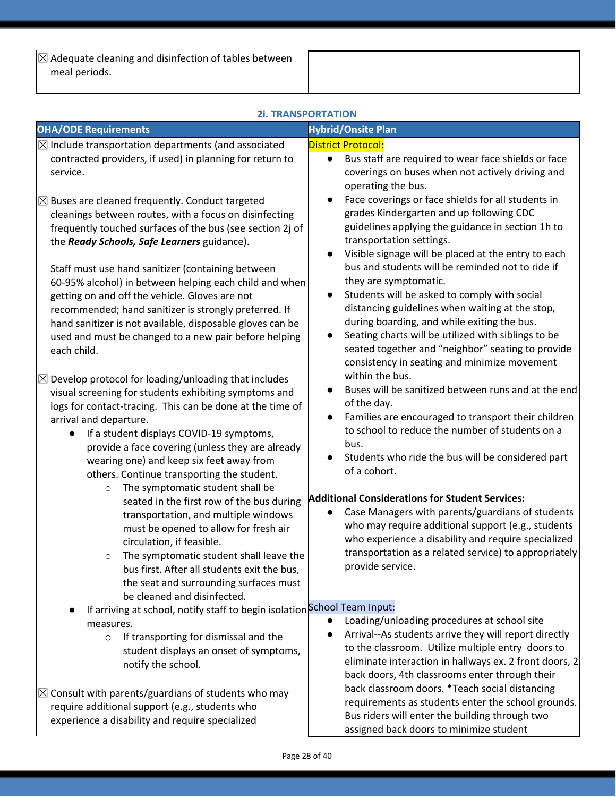$\sqrt{\triangle}$  Adequate cleaning and disinfection of tables between meal periods.

| <b>2i. TRANSPORTATION</b>                                                                                                                                                                                                                                                                                                                                                                                                                                                                                                                                                                                                                                                                                                                                                                                                                                                                                                                                                                                                                                                                                                                                                                                                                                                                                                                                                                                                                                                                                        |                                                                                                                                                                                                                                                                                                                                                                                                                                                                                                                                                                                                                                                                                                                                                                                                                                                                                                                                                                                                                                                                                                                                                                                                                                                                                                                                                                                                                                |  |  |  |
|------------------------------------------------------------------------------------------------------------------------------------------------------------------------------------------------------------------------------------------------------------------------------------------------------------------------------------------------------------------------------------------------------------------------------------------------------------------------------------------------------------------------------------------------------------------------------------------------------------------------------------------------------------------------------------------------------------------------------------------------------------------------------------------------------------------------------------------------------------------------------------------------------------------------------------------------------------------------------------------------------------------------------------------------------------------------------------------------------------------------------------------------------------------------------------------------------------------------------------------------------------------------------------------------------------------------------------------------------------------------------------------------------------------------------------------------------------------------------------------------------------------|--------------------------------------------------------------------------------------------------------------------------------------------------------------------------------------------------------------------------------------------------------------------------------------------------------------------------------------------------------------------------------------------------------------------------------------------------------------------------------------------------------------------------------------------------------------------------------------------------------------------------------------------------------------------------------------------------------------------------------------------------------------------------------------------------------------------------------------------------------------------------------------------------------------------------------------------------------------------------------------------------------------------------------------------------------------------------------------------------------------------------------------------------------------------------------------------------------------------------------------------------------------------------------------------------------------------------------------------------------------------------------------------------------------------------------|--|--|--|
| <b>OHA/ODE Requirements</b>                                                                                                                                                                                                                                                                                                                                                                                                                                                                                                                                                                                                                                                                                                                                                                                                                                                                                                                                                                                                                                                                                                                                                                                                                                                                                                                                                                                                                                                                                      | <b>Hybrid/Onsite Plan</b>                                                                                                                                                                                                                                                                                                                                                                                                                                                                                                                                                                                                                                                                                                                                                                                                                                                                                                                                                                                                                                                                                                                                                                                                                                                                                                                                                                                                      |  |  |  |
| $\boxtimes$ Include transportation departments (and associated<br>contracted providers, if used) in planning for return to<br>service.<br>$\boxtimes$ Buses are cleaned frequently. Conduct targeted<br>cleanings between routes, with a focus on disinfecting<br>frequently touched surfaces of the bus (see section 2j of<br>the Ready Schools, Safe Learners guidance).<br>Staff must use hand sanitizer (containing between<br>60-95% alcohol) in between helping each child and when<br>getting on and off the vehicle. Gloves are not<br>recommended; hand sanitizer is strongly preferred. If<br>hand sanitizer is not available, disposable gloves can be<br>used and must be changed to a new pair before helping<br>each child.<br>$\boxtimes$ Develop protocol for loading/unloading that includes<br>visual screening for students exhibiting symptoms and<br>logs for contact-tracing. This can be done at the time of<br>arrival and departure.<br>If a student displays COVID-19 symptoms,<br>provide a face covering (unless they are already<br>wearing one) and keep six feet away from<br>others. Continue transporting the student.<br>The symptomatic student shall be<br>$\circ$<br>seated in the first row of the bus during<br>transportation, and multiple windows<br>must be opened to allow for fresh air<br>circulation, if feasible.<br>The symptomatic student shall leave the<br>$\circ$<br>bus first. After all students exit the bus,<br>the seat and surrounding surfaces must | <b>District Protocol:</b><br>Bus staff are required to wear face shields or face<br>$\bullet$<br>coverings on buses when not actively driving and<br>operating the bus.<br>Face coverings or face shields for all students in<br>grades Kindergarten and up following CDC<br>guidelines applying the guidance in section 1h to<br>transportation settings.<br>Visible signage will be placed at the entry to each<br>bus and students will be reminded not to ride if<br>they are symptomatic.<br>Students will be asked to comply with social<br>$\bullet$<br>distancing guidelines when waiting at the stop,<br>during boarding, and while exiting the bus.<br>Seating charts will be utilized with siblings to be<br>seated together and "neighbor" seating to provide<br>consistency in seating and minimize movement<br>within the bus.<br>Buses will be sanitized between runs and at the end<br>of the day.<br>Families are encouraged to transport their children<br>$\bullet$<br>to school to reduce the number of students on a<br>bus.<br>Students who ride the bus will be considered part<br>of a cohort.<br><b>Additional Considerations for Student Services:</b><br>Case Managers with parents/guardians of students<br>who may require additional support (e.g., students<br>who experience a disability and require specialized<br>transportation as a related service) to appropriately<br>provide service. |  |  |  |
| be cleaned and disinfected.<br>If arriving at school, notify staff to begin isolation School Team Input:<br>measures.<br>If transporting for dismissal and the<br>$\circ$<br>student displays an onset of symptoms,<br>notify the school.<br>$\boxtimes$ Consult with parents/guardians of students who may<br>require additional support (e.g., students who<br>experience a disability and require specialized                                                                                                                                                                                                                                                                                                                                                                                                                                                                                                                                                                                                                                                                                                                                                                                                                                                                                                                                                                                                                                                                                                 | Loading/unloading procedures at school site<br>Arrival--As students arrive they will report directly<br>to the classroom. Utilize multiple entry doors to<br>eliminate interaction in hallways ex. 2 front doors, 2<br>back doors, 4th classrooms enter through their<br>back classroom doors. *Teach social distancing<br>requirements as students enter the school grounds.<br>Bus riders will enter the building through two<br>assigned back doors to minimize student                                                                                                                                                                                                                                                                                                                                                                                                                                                                                                                                                                                                                                                                                                                                                                                                                                                                                                                                                     |  |  |  |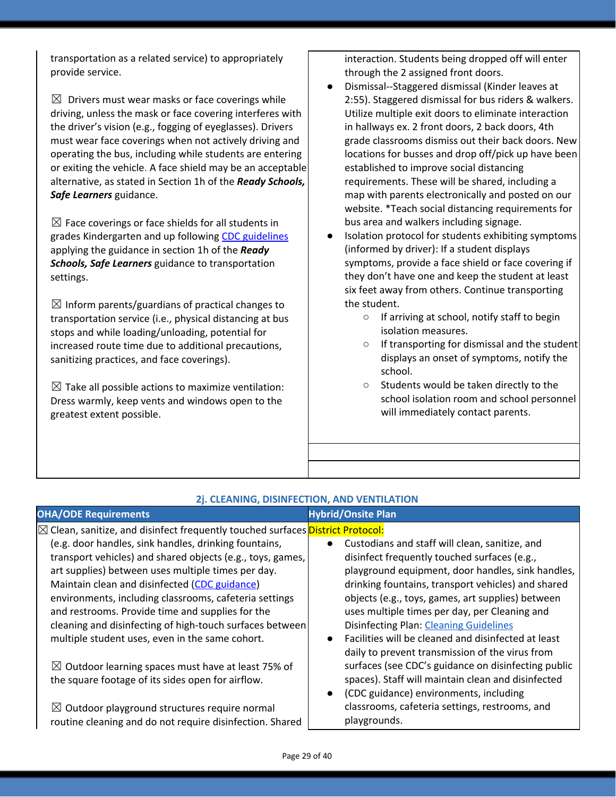transportation as a related service) to appropriately provide service.

 $\boxtimes$  Drivers must wear masks or face coverings while driving, unless the mask or face covering interferes with the driver's vision (e.g., fogging of eyeglasses). Drivers must wear face coverings when not actively driving and operating the bus, including while students are entering or exiting the vehicle. A face shield may be an acceptable alternative, as stated in Section 1h of the *Ready Schools, Safe Learners* guidance.

 $\boxtimes$  Face coverings or face shields for all students in grades Kindergarten and up following CDC [guidelines](https://www.cdc.gov/coronavirus/2019-ncov/prevent-getting-sick/diy-cloth-face-coverings.html) applying the guidance in section 1h of the *Ready Schools, Safe Learners* guidance to transportation settings.

 $\boxtimes$  Inform parents/guardians of practical changes to transportation service (i.e., physical distancing at bus stops and while loading/unloading, potential for increased route time due to additional precautions, sanitizing practices, and face coverings).

 $\boxtimes$  Take all possible actions to maximize ventilation: Dress warmly, keep vents and windows open to the greatest extent possible.

interaction. Students being dropped off will enter through the 2 assigned front doors.

- Dismissal--Staggered dismissal (Kinder leaves at 2:55). Staggered dismissal for bus riders & walkers. Utilize multiple exit doors to eliminate interaction in hallways ex. 2 front doors, 2 back doors, 4th grade classrooms dismiss out their back doors. New locations for busses and drop off/pick up have been established to improve social distancing requirements. These will be shared, including a map with parents electronically and posted on our website. \*Teach social distancing requirements for bus area and walkers including signage.
- Isolation protocol for students exhibiting symptoms (informed by driver): If a student displays symptoms, provide a face shield or face covering if they don't have one and keep the student at least six feet away from others. Continue transporting the student.
	- If arriving at school, notify staff to begin isolation measures.
	- If transporting for dismissal and the student displays an onset of symptoms, notify the school.
	- Students would be taken directly to the school isolation room and school personnel will immediately contact parents.

| 2j. CLEANING, DISINFECTION, AND VENTILATION                                            |                                                                  |  |  |  |
|----------------------------------------------------------------------------------------|------------------------------------------------------------------|--|--|--|
| <b>OHA/ODE Requirements</b>                                                            | <b>Hybrid/Onsite Plan</b>                                        |  |  |  |
| <b>⊠ Clean, sanitize, and disinfect frequently touched surfaces District Protocol:</b> |                                                                  |  |  |  |
| (e.g. door handles, sink handles, drinking fountains,                                  | Custodians and staff will clean, sanitize, and<br>$\bullet$      |  |  |  |
| transport vehicles) and shared objects (e.g., toys, games,                             | disinfect frequently touched surfaces (e.g.,                     |  |  |  |
| art supplies) between uses multiple times per day.                                     | playground equipment, door handles, sink handles,                |  |  |  |
| Maintain clean and disinfected (CDC guidance)                                          | drinking fountains, transport vehicles) and shared               |  |  |  |
| environments, including classrooms, cafeteria settings                                 | objects (e.g., toys, games, art supplies) between                |  |  |  |
| and restrooms. Provide time and supplies for the                                       | uses multiple times per day, per Cleaning and                    |  |  |  |
| cleaning and disinfecting of high-touch surfaces between                               | <b>Disinfecting Plan: Cleaning Guidelines</b>                    |  |  |  |
| multiple student uses, even in the same cohort.                                        | Facilities will be cleaned and disinfected at least<br>$\bullet$ |  |  |  |
|                                                                                        | daily to prevent transmission of the virus from                  |  |  |  |
| $\boxtimes$ Outdoor learning spaces must have at least 75% of                          | surfaces (see CDC's guidance on disinfecting public              |  |  |  |
| the square footage of its sides open for airflow.                                      | spaces). Staff will maintain clean and disinfected               |  |  |  |
|                                                                                        | (CDC guidance) environments, including<br>$\bullet$              |  |  |  |
| $\boxtimes$ Outdoor playground structures require normal                               | classrooms, cafeteria settings, restrooms, and                   |  |  |  |
| routine cleaning and do not require disinfection. Shared                               | playgrounds.                                                     |  |  |  |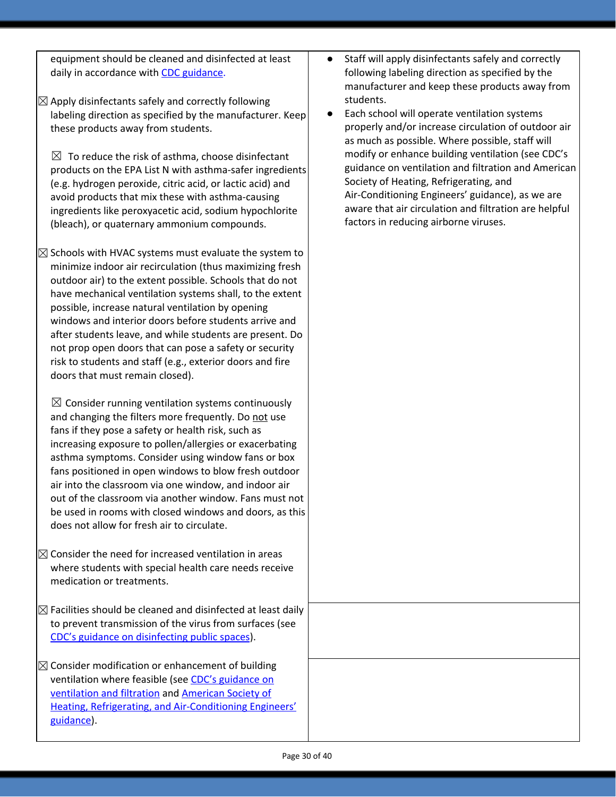equipment should be cleaned and disinfected at least daily in accordance wit[h](https://www.cdc.gov/coronavirus/2019-ncov/community/clean-disinfect/index.html) CDC [guidance.](https://www.cdc.gov/coronavirus/2019-ncov/community/clean-disinfect/index.html)

 $\boxtimes$  Apply disinfectants safely and correctly following labeling direction as specified by the manufacturer. Keep these products away from students.

 $\boxtimes$  To reduce the risk of asthma, choose disinfectant products on the EPA List N with asthma-safer ingredients (e.g. hydrogen peroxide, citric acid, or lactic acid) and avoid products that mix these with asthma-causing ingredients like peroxyacetic acid, sodium hypochlorite (bleach), or quaternary ammonium compounds.

 $\boxtimes$  Schools with HVAC systems must evaluate the system to minimize indoor air recirculation (thus maximizing fresh outdoor air) to the extent possible. Schools that do not have mechanical ventilation systems shall, to the extent possible, increase natural ventilation by opening windows and interior doors before students arrive and after students leave, and while students are present. Do not prop open doors that can pose a safety or security risk to students and staff (e.g., exterior doors and fire doors that must remain closed).

 $\boxtimes$  Consider running ventilation systems continuously and changing the filters more frequently. Do not use fans if they pose a safety or health risk, such as increasing exposure to pollen/allergies or exacerbating asthma symptoms. Consider using window fans or box fans positioned in open windows to blow fresh outdoor air into the classroom via one window, and indoor air out of the classroom via another window. Fans must not be used in rooms with closed windows and doors, as this does not allow for fresh air to circulate.

 $\boxtimes$  Consider the need for increased ventilation in areas where students with special health care needs receive medication or treatments.

 $\boxtimes$  Facilities should be cleaned and disinfected at least daily to prevent transmission of the virus from surfaces (see CDC's guidance on [disinfecting](https://www.cdc.gov/coronavirus/2019-ncov/community/reopen-guidance.html) public spaces).

 $\boxtimes$  Consider modification or enhancement of building ventilation where feasible (see [C](https://www.cdc.gov/coronavirus/2019-ncov/community/guidance-business-response.html)DC's [guidance](https://www.cdc.gov/coronavirus/2019-ncov/community/guidance-business-response.html) on [ventilation](https://www.cdc.gov/coronavirus/2019-ncov/community/guidance-business-response.html) and filtration an[d](https://www.ashrae.org/news/ashraejournal/guidance-for-building-operations-during-the-covid-19-pandemic) [American](https://www.ashrae.org/news/ashraejournal/guidance-for-building-operations-during-the-covid-19-pandemic) Society of Heating, Refrigerating, and [Air-Conditioning](https://www.ashrae.org/news/ashraejournal/guidance-for-building-operations-during-the-covid-19-pandemic) Engineers' [guidance\)](https://www.ashrae.org/news/ashraejournal/guidance-for-building-operations-during-the-covid-19-pandemic).

- Staff will apply disinfectants safely and correctly following labeling direction as specified by the manufacturer and keep these products away from students.
- Each school will operate ventilation systems properly and/or increase circulation of outdoor air as much as possible. Where possible, staff will modify or enhance building ventilation (see CDC's guidance on ventilation and filtration and American Society of Heating, Refrigerating, and Air-Conditioning Engineers' guidance), as we are aware that air circulation and filtration are helpful factors in reducing airborne viruses.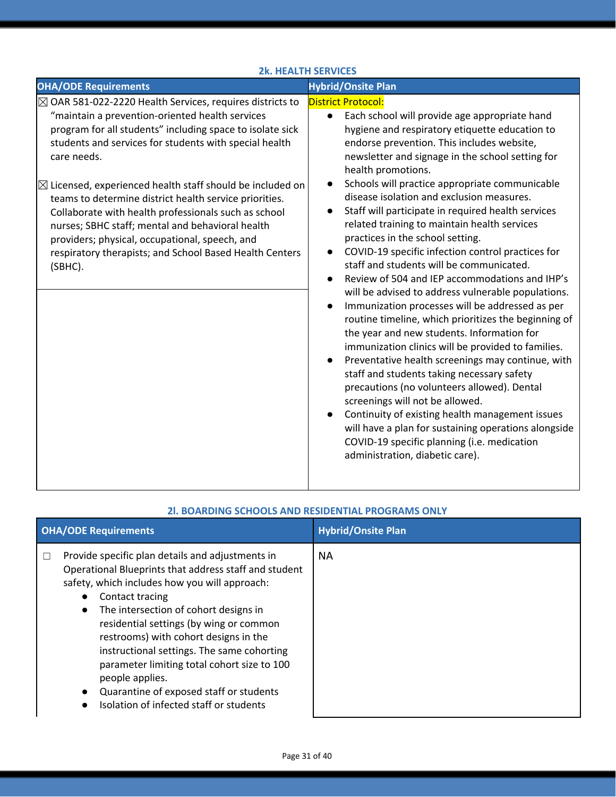| <b>2k. HEALTH SERVICES</b>                                                                                                                                                                                                                                                                                                                                                                                                                                                                                                                                                                                                         |                                                                                                                                                                                                                                                                                                                                                                                                                                                                                                                                                                                                                                                                                                                                                                                                                                                                                                                                                                                                                                                                                                                                                                                                                                                                                                                      |  |  |  |
|------------------------------------------------------------------------------------------------------------------------------------------------------------------------------------------------------------------------------------------------------------------------------------------------------------------------------------------------------------------------------------------------------------------------------------------------------------------------------------------------------------------------------------------------------------------------------------------------------------------------------------|----------------------------------------------------------------------------------------------------------------------------------------------------------------------------------------------------------------------------------------------------------------------------------------------------------------------------------------------------------------------------------------------------------------------------------------------------------------------------------------------------------------------------------------------------------------------------------------------------------------------------------------------------------------------------------------------------------------------------------------------------------------------------------------------------------------------------------------------------------------------------------------------------------------------------------------------------------------------------------------------------------------------------------------------------------------------------------------------------------------------------------------------------------------------------------------------------------------------------------------------------------------------------------------------------------------------|--|--|--|
| <b>OHA/ODE Requirements</b>                                                                                                                                                                                                                                                                                                                                                                                                                                                                                                                                                                                                        | <b>Hybrid/Onsite Plan</b>                                                                                                                                                                                                                                                                                                                                                                                                                                                                                                                                                                                                                                                                                                                                                                                                                                                                                                                                                                                                                                                                                                                                                                                                                                                                                            |  |  |  |
| $\boxtimes$ OAR 581-022-2220 Health Services, requires districts to<br>"maintain a prevention-oriented health services<br>program for all students" including space to isolate sick<br>students and services for students with special health<br>care needs.<br>$\boxtimes$ Licensed, experienced health staff should be included on<br>teams to determine district health service priorities.<br>Collaborate with health professionals such as school<br>nurses; SBHC staff; mental and behavioral health<br>providers; physical, occupational, speech, and<br>respiratory therapists; and School Based Health Centers<br>(SBHC). | <b>District Protocol:</b><br>Each school will provide age appropriate hand<br>$\bullet$<br>hygiene and respiratory etiquette education to<br>endorse prevention. This includes website,<br>newsletter and signage in the school setting for<br>health promotions.<br>Schools will practice appropriate communicable<br>disease isolation and exclusion measures.<br>Staff will participate in required health services<br>related training to maintain health services<br>practices in the school setting.<br>COVID-19 specific infection control practices for<br>staff and students will be communicated.<br>Review of 504 and IEP accommodations and IHP's<br>will be advised to address vulnerable populations.<br>Immunization processes will be addressed as per<br>routine timeline, which prioritizes the beginning of<br>the year and new students. Information for<br>immunization clinics will be provided to families.<br>Preventative health screenings may continue, with<br>staff and students taking necessary safety<br>precautions (no volunteers allowed). Dental<br>screenings will not be allowed.<br>Continuity of existing health management issues<br>will have a plan for sustaining operations alongside<br>COVID-19 specific planning (i.e. medication<br>administration, diabetic care). |  |  |  |

| <b>OHA/ODE Requirements</b> |                                                                                                                                                                                                                                                                                                                                                                                                                                                                                                                  | <b>Hybrid/Onsite Plan</b> |
|-----------------------------|------------------------------------------------------------------------------------------------------------------------------------------------------------------------------------------------------------------------------------------------------------------------------------------------------------------------------------------------------------------------------------------------------------------------------------------------------------------------------------------------------------------|---------------------------|
| $\Box$                      | Provide specific plan details and adjustments in<br>Operational Blueprints that address staff and student<br>safety, which includes how you will approach:<br>Contact tracing<br>The intersection of cohort designs in<br>residential settings (by wing or common<br>restrooms) with cohort designs in the<br>instructional settings. The same cohorting<br>parameter limiting total cohort size to 100<br>people applies.<br>Quarantine of exposed staff or students<br>Isolation of infected staff or students | <b>NA</b>                 |

### **2l. BOARDING SCHOOLS AND RESIDENTIAL PROGRAMS ONLY**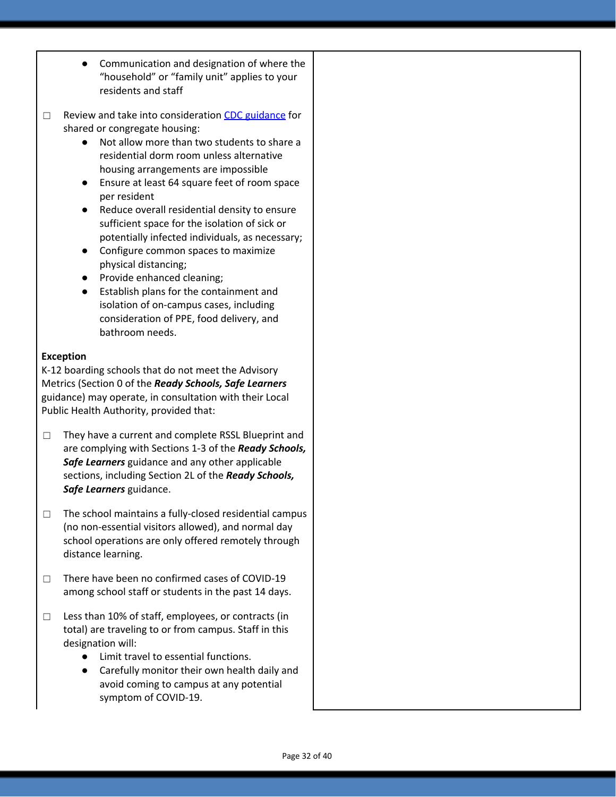- Communication and designation of where the "household" or "family unit" applies to your residents and staff
- □ Review a[n](https://www.cdc.gov/coronavirus/2019-ncov/communication/toolkits/shared-congregate-housing.html)d take into consideration CDC [guidance](https://www.cdc.gov/coronavirus/2019-ncov/communication/toolkits/shared-congregate-housing.html) for shared or congregate housing:
	- Not allow more than two students to share a residential dorm room unless alternative housing arrangements are impossible
	- Ensure at least 64 square feet of room space per resident
	- Reduce overall residential density to ensure sufficient space for the isolation of sick or potentially infected individuals, as necessary;
	- Configure common spaces to maximize physical distancing;
	- Provide enhanced cleaning;
	- Establish plans for the containment and isolation of on-campus cases, including consideration of PPE, food delivery, and bathroom needs.

### **Exception**

K-12 boarding schools that do not meet the Advisory Metrics (Section 0 of the *Ready Schools, Safe Learners* guidance) may operate, in consultation with their Local Public Health Authority, provided that:

- ☐ They have a current and complete RSSL Blueprint and are complying with Sections 1-3 of the *Ready Schools, Safe Learners* guidance and any other applicable sections, including Section 2L of the *Ready Schools, Safe Learners* guidance.
- ☐ The school maintains a fully-closed residential campus (no non-essential visitors allowed), and normal day school operations are only offered remotely through distance learning.
- ☐ There have been no confirmed cases of COVID-19 among school staff or students in the past 14 days.
- $\Box$  Less than 10% of staff, employees, or contracts (in total) are traveling to or from campus. Staff in this designation will:
	- Limit travel to essential functions.
	- Carefully monitor their own health daily and avoid coming to campus at any potential symptom of COVID-19.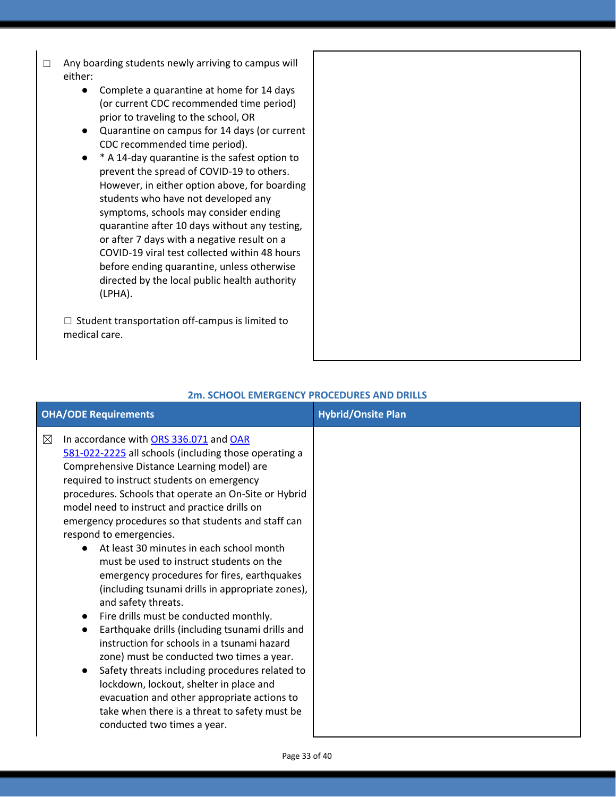- □ Any boarding students newly arriving to campus will either:
	- Complete a quarantine at home for 14 days (or current CDC recommended time period) prior to traveling to the school, OR
	- Quarantine on campus for 14 days (or current CDC recommended time period).
	- \* A 14-day quarantine is the safest option to prevent the spread of COVID-19 to others. However, in either option above, for boarding students who have not developed any symptoms, schools may consider ending quarantine after 10 days without any testing, or after 7 days with a negative result on a COVID-19 viral test collected within 48 hours before ending quarantine, unless otherwise directed by the local public health authority (LPHA).

☐ Student transportation off-campus is limited to medical care.

| <b>OHA/ODE Requirements</b> |                                                                                                                                                                                                                                                                                                                                                                                                                                                                                                                                                                                                                                                                                                                                                                                                                                                                                                                                                                                                                                             | <b>Hybrid/Onsite Plan</b> |
|-----------------------------|---------------------------------------------------------------------------------------------------------------------------------------------------------------------------------------------------------------------------------------------------------------------------------------------------------------------------------------------------------------------------------------------------------------------------------------------------------------------------------------------------------------------------------------------------------------------------------------------------------------------------------------------------------------------------------------------------------------------------------------------------------------------------------------------------------------------------------------------------------------------------------------------------------------------------------------------------------------------------------------------------------------------------------------------|---------------------------|
| $\boxtimes$                 | In accordance with ORS 336.071 and OAR<br>581-022-2225 all schools (including those operating a<br>Comprehensive Distance Learning model) are<br>required to instruct students on emergency<br>procedures. Schools that operate an On-Site or Hybrid<br>model need to instruct and practice drills on<br>emergency procedures so that students and staff can<br>respond to emergencies.<br>At least 30 minutes in each school month<br>must be used to instruct students on the<br>emergency procedures for fires, earthquakes<br>(including tsunami drills in appropriate zones),<br>and safety threats.<br>Fire drills must be conducted monthly.<br>Earthquake drills (including tsunami drills and<br>instruction for schools in a tsunami hazard<br>zone) must be conducted two times a year.<br>Safety threats including procedures related to<br>$\bullet$<br>lockdown, lockout, shelter in place and<br>evacuation and other appropriate actions to<br>take when there is a threat to safety must be<br>conducted two times a year. |                           |

### **2m. SCHOOL EMERGENCY PROCEDURES AND DRILLS**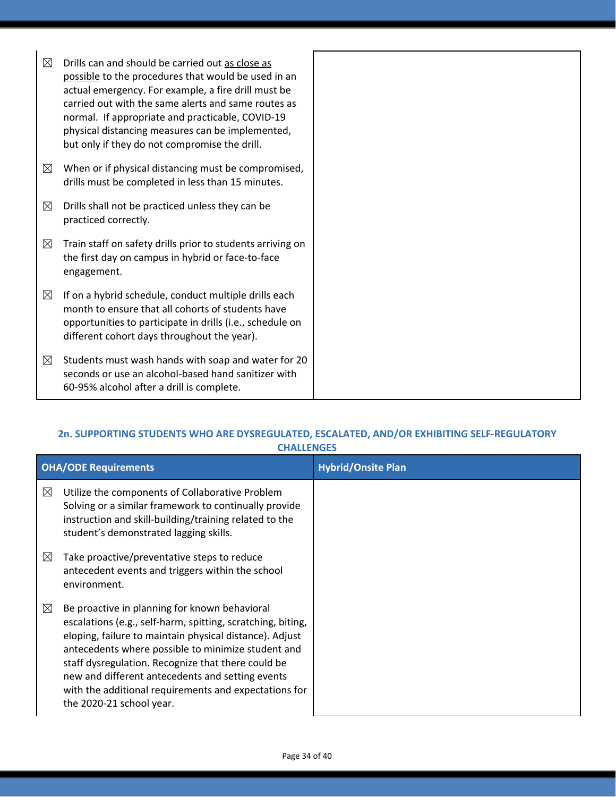| ⊠           | Drills can and should be carried out as close as<br>possible to the procedures that would be used in an<br>actual emergency. For example, a fire drill must be<br>carried out with the same alerts and same routes as<br>normal. If appropriate and practicable, COVID-19<br>physical distancing measures can be implemented,<br>but only if they do not compromise the drill. |
|-------------|--------------------------------------------------------------------------------------------------------------------------------------------------------------------------------------------------------------------------------------------------------------------------------------------------------------------------------------------------------------------------------|
| ⊠           | When or if physical distancing must be compromised,<br>drills must be completed in less than 15 minutes.                                                                                                                                                                                                                                                                       |
| $\boxtimes$ | Drills shall not be practiced unless they can be<br>practiced correctly.                                                                                                                                                                                                                                                                                                       |
| $\boxtimes$ | Train staff on safety drills prior to students arriving on<br>the first day on campus in hybrid or face-to-face<br>engagement.                                                                                                                                                                                                                                                 |
| ⊠           | If on a hybrid schedule, conduct multiple drills each<br>month to ensure that all cohorts of students have<br>opportunities to participate in drills (i.e., schedule on<br>different cohort days throughout the year).                                                                                                                                                         |
| ⊠           | Students must wash hands with soap and water for 20<br>seconds or use an alcohol-based hand sanitizer with<br>60-95% alcohol after a drill is complete.                                                                                                                                                                                                                        |

### **2n. SUPPORTING STUDENTS WHO ARE DYSREGULATED, ESCALATED, AND/OR EXHIBITING SELF-REGULATORY CHALLENGES**

|             | <b>OHA/ODE Requirements</b>                                                                                                                                                                                                                                                                                                                                                                                                  | <b>Hybrid/Onsite Plan</b> |
|-------------|------------------------------------------------------------------------------------------------------------------------------------------------------------------------------------------------------------------------------------------------------------------------------------------------------------------------------------------------------------------------------------------------------------------------------|---------------------------|
| $\boxtimes$ | Utilize the components of Collaborative Problem<br>Solving or a similar framework to continually provide<br>instruction and skill-building/training related to the<br>student's demonstrated lagging skills.                                                                                                                                                                                                                 |                           |
| $\boxtimes$ | Take proactive/preventative steps to reduce<br>antecedent events and triggers within the school<br>environment.                                                                                                                                                                                                                                                                                                              |                           |
| ⊠           | Be proactive in planning for known behavioral<br>escalations (e.g., self-harm, spitting, scratching, biting,<br>eloping, failure to maintain physical distance). Adjust<br>antecedents where possible to minimize student and<br>staff dysregulation. Recognize that there could be<br>new and different antecedents and setting events<br>with the additional requirements and expectations for<br>the 2020-21 school year. |                           |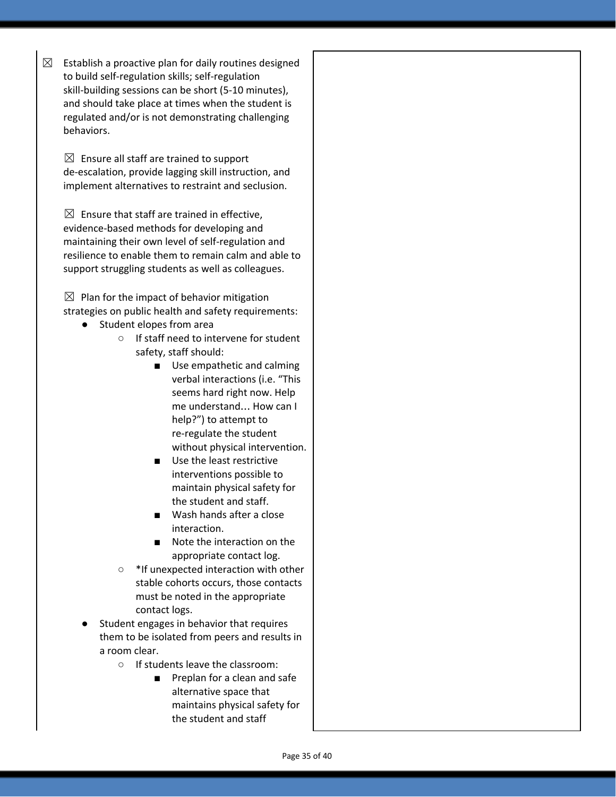$\boxtimes$  Establish a proactive plan for daily routines designed to build self-regulation skills; self-regulation skill-building sessions can be short (5-10 minutes), and should take place at times when the student is regulated and/or is not demonstrating challenging behaviors.

 $\boxtimes$  Ensure all staff are trained to support de-escalation, provide lagging skill instruction, and implement alternatives to restraint and seclusion.

 $\boxtimes$  Ensure that staff are trained in effective, evidence-based methods for developing and maintaining their own level of self-regulation and resilience to enable them to remain calm and able to support struggling students as well as colleagues.

 $\boxtimes$  Plan for the impact of behavior mitigation strategies on public health and safety requirements:

- Student elopes from area
	- If staff need to intervene for student safety, staff should:
		- Use empathetic and calming verbal interactions (i.e. "This seems hard right now. Help me understand… How can I help?") to attempt to re-regulate the student without physical intervention.
		- Use the least restrictive interventions possible to maintain physical safety for the student and staff.
		- Wash hands after a close interaction.
		- Note the interaction on the appropriate contact log.
	- \*If unexpected interaction with other stable cohorts occurs, those contacts must be noted in the appropriate contact logs.
- Student engages in behavior that requires them to be isolated from peers and results in a room clear.
	- If students leave the classroom:
		- Preplan for a clean and safe alternative space that maintains physical safety for the student and staff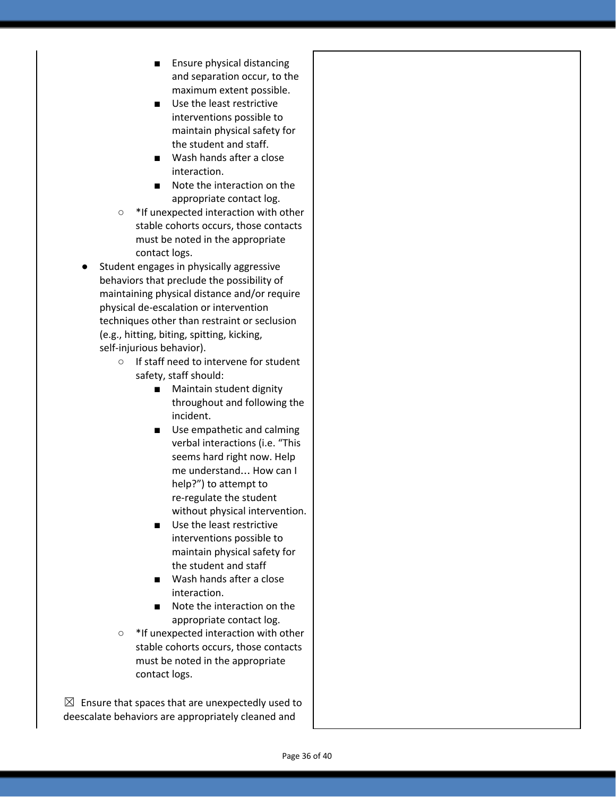- Ensure physical distancing and separation occur, to the maximum extent possible.
- Use the least restrictive interventions possible to maintain physical safety for the student and staff.
- Wash hands after a close interaction.
- Note the interaction on the appropriate contact log.
- \*If unexpected interaction with other stable cohorts occurs, those contacts must be noted in the appropriate contact logs.
- Student engages in physically aggressive behaviors that preclude the possibility of maintaining physical distance and/or require physical de-escalation or intervention techniques other than restraint or seclusion (e.g., hitting, biting, spitting, kicking, self-injurious behavior).
	- If staff need to intervene for student safety, staff should:
		- Maintain student dignity throughout and following the incident.
		- Use empathetic and calming verbal interactions (i.e. "This seems hard right now. Help me understand… How can I help?") to attempt to re-regulate the student without physical intervention.
		- Use the least restrictive interventions possible to maintain physical safety for the student and staff
		- Wash hands after a close interaction.
		- Note the interaction on the appropriate contact log.
	- \*If unexpected interaction with other stable cohorts occurs, those contacts must be noted in the appropriate contact logs.

 $\boxtimes$  Ensure that spaces that are unexpectedly used to deescalate behaviors are appropriately cleaned and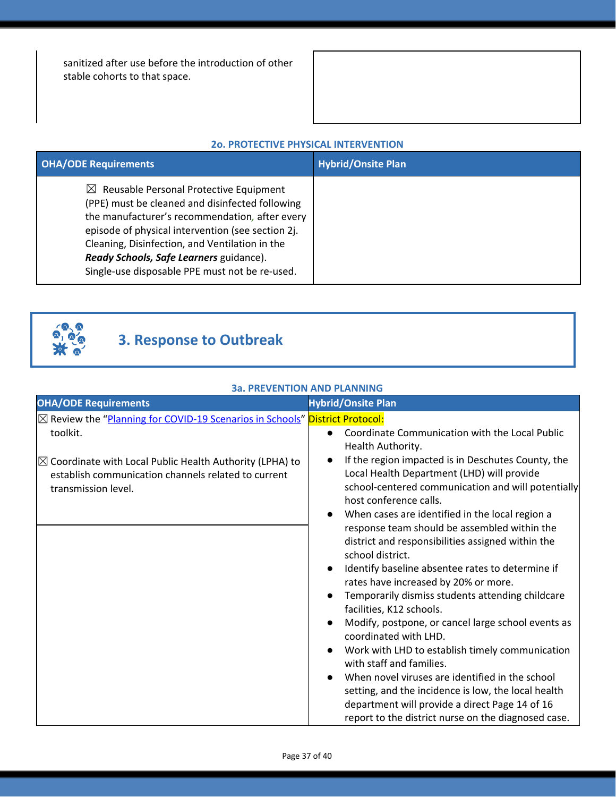sanitized after use before the introduction of other stable cohorts to that space.

|  |  |  |  | <b>20. PROTECTIVE PHYSICAL INTERVENTION</b> |
|--|--|--|--|---------------------------------------------|
|--|--|--|--|---------------------------------------------|

| <b>OHA/ODE Requirements</b>                                                                                                                                                                                                                                                                                                                                 | <b>Hybrid/Onsite Plan</b> |
|-------------------------------------------------------------------------------------------------------------------------------------------------------------------------------------------------------------------------------------------------------------------------------------------------------------------------------------------------------------|---------------------------|
| $\boxtimes$ Reusable Personal Protective Equipment<br>(PPE) must be cleaned and disinfected following<br>the manufacturer's recommendation, after every<br>episode of physical intervention (see section 2j.<br>Cleaning, Disinfection, and Ventilation in the<br>Ready Schools, Safe Learners guidance).<br>Single-use disposable PPE must not be re-used. |                           |



## **3. Response to Outbreak**

### **3a. PREVENTION AND PLANNING**

| <b>OHA/ODE Requirements</b>                                                                                                                                                                                                                   | <b>Hybrid/Onsite Plan</b>                                                                                                                                                                                                                                                                                                                                                                                                                                                                                                                                                                                                                                                                                                                                                    |
|-----------------------------------------------------------------------------------------------------------------------------------------------------------------------------------------------------------------------------------------------|------------------------------------------------------------------------------------------------------------------------------------------------------------------------------------------------------------------------------------------------------------------------------------------------------------------------------------------------------------------------------------------------------------------------------------------------------------------------------------------------------------------------------------------------------------------------------------------------------------------------------------------------------------------------------------------------------------------------------------------------------------------------------|
| ⊠ Review the "Planning for COVID-19 Scenarios in Schools" District Protocol:<br>toolkit.<br>$\boxtimes$ Coordinate with Local Public Health Authority (LPHA) to<br>establish communication channels related to current<br>transmission level. | Coordinate Communication with the Local Public<br>$\bullet$<br>Health Authority.<br>If the region impacted is in Deschutes County, the<br>$\bullet$<br>Local Health Department (LHD) will provide<br>school-centered communication and will potentially<br>host conference calls.                                                                                                                                                                                                                                                                                                                                                                                                                                                                                            |
|                                                                                                                                                                                                                                               | When cases are identified in the local region a<br>$\bullet$<br>response team should be assembled within the<br>district and responsibilities assigned within the<br>school district.<br>Identify baseline absentee rates to determine if<br>$\bullet$<br>rates have increased by 20% or more.<br>Temporarily dismiss students attending childcare<br>$\bullet$<br>facilities, K12 schools.<br>Modify, postpone, or cancel large school events as<br>coordinated with LHD.<br>Work with LHD to establish timely communication<br>with staff and families.<br>When novel viruses are identified in the school<br>setting, and the incidence is low, the local health<br>department will provide a direct Page 14 of 16<br>report to the district nurse on the diagnosed case. |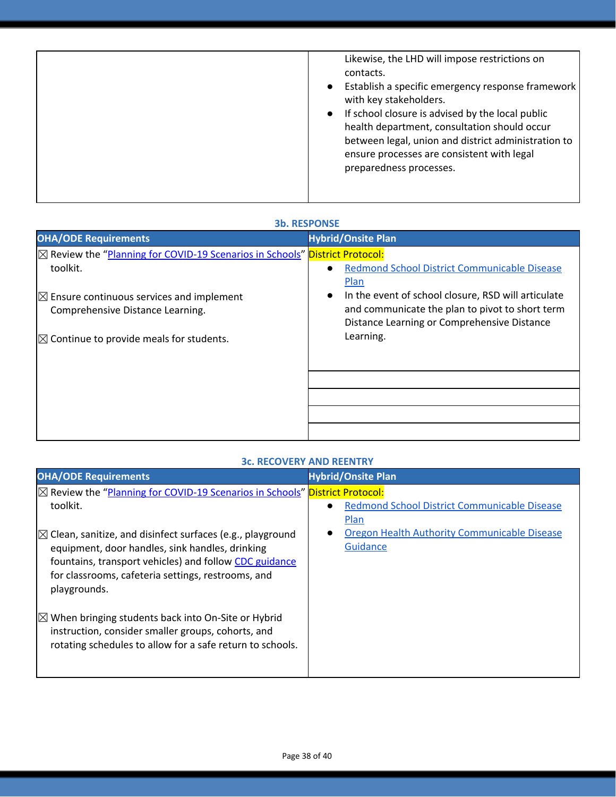|  | Likewise, the LHD will impose restrictions on<br>contacts.<br>Establish a specific emergency response framework<br>$\bullet$<br>with key stakeholders.<br>If school closure is advised by the local public<br>$\bullet$<br>health department, consultation should occur<br>between legal, union and district administration to<br>ensure processes are consistent with legal<br>preparedness processes. |
|--|---------------------------------------------------------------------------------------------------------------------------------------------------------------------------------------------------------------------------------------------------------------------------------------------------------------------------------------------------------------------------------------------------------|
|--|---------------------------------------------------------------------------------------------------------------------------------------------------------------------------------------------------------------------------------------------------------------------------------------------------------------------------------------------------------------------------------------------------------|

### **3b. RESPONSE**

| <b>OHA/ODE Requirements</b>                                                            | <b>Hybrid/Onsite Plan</b>                                                                      |
|----------------------------------------------------------------------------------------|------------------------------------------------------------------------------------------------|
| $\boxtimes$ Review the "Planning for COVID-19 Scenarios in Schools" District Protocol: |                                                                                                |
| toolkit.                                                                               | Redmond School District Communicable Disease<br>Plan                                           |
| $\boxtimes$ Ensure continuous services and implement                                   | In the event of school closure, RSD will articulate<br>$\bullet$                               |
| Comprehensive Distance Learning.                                                       | and communicate the plan to pivot to short term<br>Distance Learning or Comprehensive Distance |
| $\boxtimes$ Continue to provide meals for students.                                    | Learning.                                                                                      |
|                                                                                        |                                                                                                |
|                                                                                        |                                                                                                |
|                                                                                        |                                                                                                |
|                                                                                        |                                                                                                |
|                                                                                        |                                                                                                |

### **3c. RECOVERY AND REENTRY**

| <b>OHA/ODE Requirements</b>                                                                                                                                                        | <b>Hybrid/Onsite Plan</b>                    |
|------------------------------------------------------------------------------------------------------------------------------------------------------------------------------------|----------------------------------------------|
| ⊠ Review the "Planning for COVID-19 Scenarios in Schools" District Protocol:                                                                                                       |                                              |
| toolkit.                                                                                                                                                                           | Redmond School District Communicable Disease |
|                                                                                                                                                                                    | Plan                                         |
| $\boxtimes$ Clean, sanitize, and disinfect surfaces (e.g., playground                                                                                                              | Oregon Health Authority Communicable Disease |
| equipment, door handles, sink handles, drinking                                                                                                                                    | Guidance                                     |
| fountains, transport vehicles) and follow CDC guidance                                                                                                                             |                                              |
| for classrooms, cafeteria settings, restrooms, and                                                                                                                                 |                                              |
| playgrounds.                                                                                                                                                                       |                                              |
| $\mathbb{Z}$ When bringing students back into On-Site or Hybrid<br>instruction, consider smaller groups, cohorts, and<br>rotating schedules to allow for a safe return to schools. |                                              |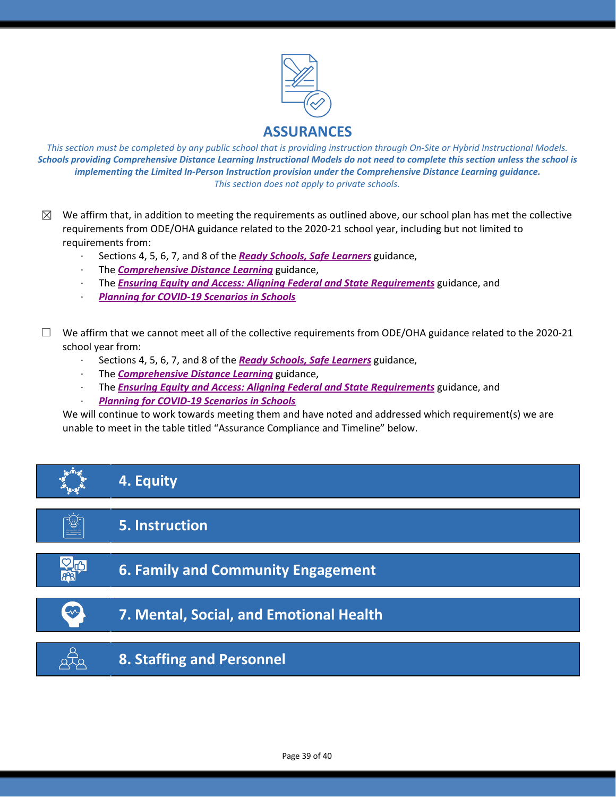

This section must be completed by any public school that is providing instruction through On-Site or Hybrid Instructional Models. Schools providing Comprehensive Distance Learning Instructional Models do not need to complete this section unless the school is *implementing the Limited In-Person Instruction provision under the Comprehensive Distance Learning guidance. This section does not apply to private schools.*

- $\boxtimes$  We affirm that, in addition to meeting the requirements as outlined above, our school plan has met the collective requirements from ODE/OHA guidance related to the 2020-21 school year, including but not limited to requirements from:
	- · Sections 4, 5, 6, 7, and 8 of the *[R](https://www.oregon.gov/ode/students-and-family/healthsafety/Documents/Ready%20Schools%20Safe%20Learners%202020-21%20Guidance.pdf)eady Schools, Safe [Learners](https://www.oregon.gov/ode/students-and-family/healthsafety/Documents/Ready%20Schools%20Safe%20Learners%202020-21%20Guidance.pdf)* guidance,
	- · The *[Comprehensive](https://www.oregon.gov/ode/educator-resources/standards/Pages/Comprehensive-Distance-Learning.aspx) Distance Learning* guidance,
	- · The *Ensuring Equity and Access: Aligning Federal and State [Requirements](https://www.oregon.gov/ode/students-and-family/healthsafety/Documents/Ensuring%20Equity%20and%20Access%20Aligning%20State%20and%20Federal%20Requirements.pdf)* guidance, and
	- · *Planning for [COVID-19](https://www.oregon.gov/ode/students-and-family/healthsafety/Documents/Planning%20and%20Responding%20to%20COVID-19%20Scenarios%20in%20Schools%20August%202020.pdf) Scenarios in Schools*
- $\Box$  We affirm that we cannot meet all of the collective requirements from ODE/OHA guidance related to the 2020-21 school year from:
	- · Sections 4, 5, 6, 7, and 8 of the *[R](https://www.oregon.gov/ode/students-and-family/healthsafety/Documents/Ready%20Schools%20Safe%20Learners%202020-21%20Guidance.pdf)eady Schools, Safe [Learners](https://www.oregon.gov/ode/students-and-family/healthsafety/Documents/Ready%20Schools%20Safe%20Learners%202020-21%20Guidance.pdf)* guidance,
	- · The *[Comprehensive](https://www.oregon.gov/ode/educator-resources/standards/Pages/Comprehensive-Distance-Learning.aspx) Distance Learning* guidance,
	- · The *Ensuring Equity and Access: Aligning Federal and State [Requirements](https://www.oregon.gov/ode/students-and-family/healthsafety/Documents/Ensuring%20Equity%20and%20Access%20Aligning%20State%20and%20Federal%20Requirements.pdf)* guidance, and
	- · *Planning for [COVID-19](https://www.oregon.gov/ode/students-and-family/healthsafety/Documents/Planning%20and%20Responding%20to%20COVID-19%20Scenarios%20in%20Schools%20August%202020.pdf) Scenarios in Schools*

We will continue to work towards meeting them and have noted and addressed which requirement(s) we are unable to meet in the table titled "Assurance Compliance and Timeline" below.

# **4. Equity**